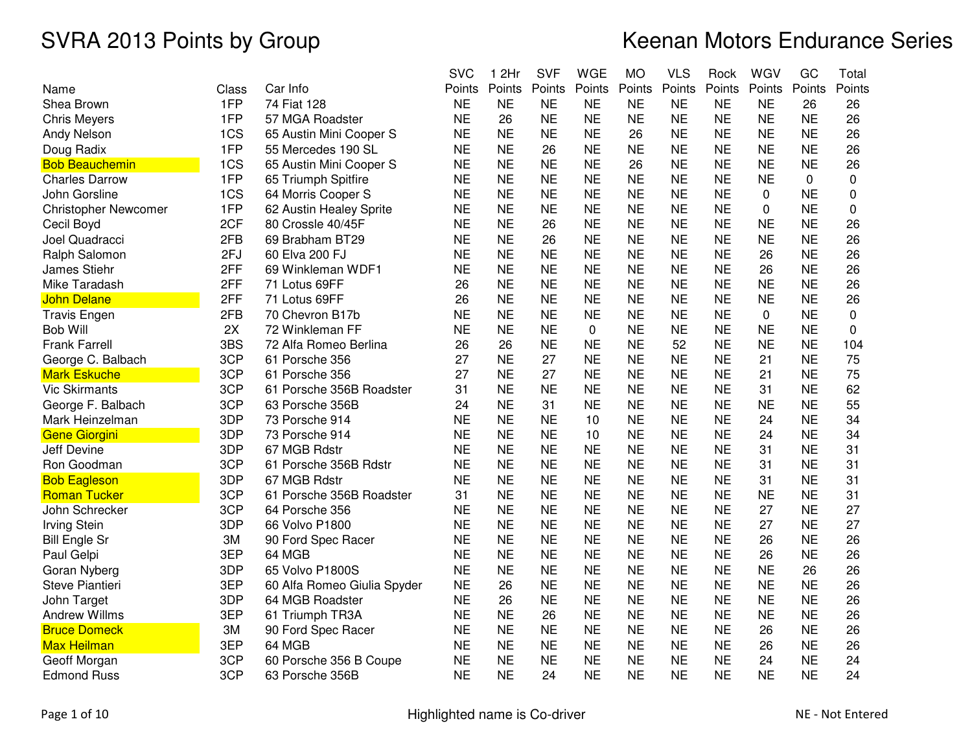|                             |       |                             | <b>SVC</b> | 1 2Hr     | <b>SVF</b> | <b>WGE</b>  | <b>MO</b> | <b>VLS</b> | Rock      | WGV       | GC        | Total  |
|-----------------------------|-------|-----------------------------|------------|-----------|------------|-------------|-----------|------------|-----------|-----------|-----------|--------|
| Name                        | Class | Car Info                    | Points     | Points    | Points     | Points      | Points    | Points     | Points    | Points    | Points    | Points |
| Shea Brown                  | 1FP   | 74 Fiat 128                 | <b>NE</b>  | <b>NE</b> | <b>NE</b>  | <b>NE</b>   | <b>NE</b> | <b>NE</b>  | <b>NE</b> | <b>NE</b> | 26        | 26     |
| <b>Chris Meyers</b>         | 1FP   | 57 MGA Roadster             | <b>NE</b>  | 26        | <b>NE</b>  | <b>NE</b>   | <b>NE</b> | <b>NE</b>  | <b>NE</b> | <b>NE</b> | <b>NE</b> | 26     |
| Andy Nelson                 | 1CS   | 65 Austin Mini Cooper S     | <b>NE</b>  | <b>NE</b> | <b>NE</b>  | <b>NE</b>   | 26        | <b>NE</b>  | <b>NE</b> | <b>NE</b> | <b>NE</b> | 26     |
| Doug Radix                  | 1FP   | 55 Mercedes 190 SL          | <b>NE</b>  | <b>NE</b> | 26         | <b>NE</b>   | <b>NE</b> | <b>NE</b>  | <b>NE</b> | <b>NE</b> | <b>NE</b> | 26     |
| <b>Bob Beauchemin</b>       | 1CS   | 65 Austin Mini Cooper S     | <b>NE</b>  | <b>NE</b> | <b>NE</b>  | <b>NE</b>   | 26        | <b>NE</b>  | <b>NE</b> | <b>NE</b> | <b>NE</b> | 26     |
| <b>Charles Darrow</b>       | 1FP   | 65 Triumph Spitfire         | <b>NE</b>  | <b>NE</b> | <b>NE</b>  | <b>NE</b>   | <b>NE</b> | <b>NE</b>  | <b>NE</b> | <b>NE</b> | 0         | 0      |
| John Gorsline               | 1CS   | 64 Morris Cooper S          | <b>NE</b>  | NE        | <b>NE</b>  | ΝE          | <b>NE</b> | <b>NE</b>  | ΝE        | 0         | <b>NE</b> | 0      |
| <b>Christopher Newcomer</b> | 1FP   | 62 Austin Healey Sprite     | <b>NE</b>  | <b>NE</b> | <b>NE</b>  | <b>NE</b>   | <b>NE</b> | <b>NE</b>  | <b>NE</b> | 0         | <b>NE</b> | 0      |
| Cecil Boyd                  | 2CF   | 80 Crossle 40/45F           | <b>NE</b>  | <b>NE</b> | 26         | <b>NE</b>   | <b>NE</b> | <b>NE</b>  | <b>NE</b> | <b>NE</b> | <b>NE</b> | 26     |
| Joel Quadracci              | 2FB   | 69 Brabham BT29             | <b>NE</b>  | <b>NE</b> | 26         | <b>NE</b>   | <b>NE</b> | <b>NE</b>  | <b>NE</b> | <b>NE</b> | <b>NE</b> | 26     |
| Ralph Salomon               | 2FJ   | 60 Elva 200 FJ              | <b>NE</b>  | <b>NE</b> | <b>NE</b>  | <b>NE</b>   | <b>NE</b> | <b>NE</b>  | <b>NE</b> | 26        | <b>NE</b> | 26     |
| James Stiehr                | 2FF   | 69 Winkleman WDF1           | <b>NE</b>  | <b>NE</b> | <b>NE</b>  | <b>NE</b>   | <b>NE</b> | <b>NE</b>  | <b>NE</b> | 26        | <b>NE</b> | 26     |
| Mike Taradash               | 2FF   | 71 Lotus 69FF               | 26         | <b>NE</b> | <b>NE</b>  | <b>NE</b>   | <b>NE</b> | <b>NE</b>  | <b>NE</b> | <b>NE</b> | <b>NE</b> | 26     |
| John Delane                 | 2FF   | 71 Lotus 69FF               | 26         | <b>NE</b> | <b>NE</b>  | <b>NE</b>   | <b>NE</b> | <b>NE</b>  | <b>NE</b> | <b>NE</b> | <b>NE</b> | 26     |
| <b>Travis Engen</b>         | 2FB   | 70 Chevron B17b             | <b>NE</b>  | <b>NE</b> | <b>NE</b>  | <b>NE</b>   | <b>NE</b> | <b>NE</b>  | <b>NE</b> | 0         | <b>NE</b> | 0      |
| <b>Bob Will</b>             | 2X    | 72 Winkleman FF             | <b>NE</b>  | <b>NE</b> | <b>NE</b>  | $\mathbf 0$ | <b>NE</b> | <b>NE</b>  | <b>NE</b> | <b>NE</b> | <b>NE</b> | 0      |
| <b>Frank Farrell</b>        | 3BS   | 72 Alfa Romeo Berlina       | 26         | 26        | <b>NE</b>  | <b>NE</b>   | <b>NE</b> | 52         | <b>NE</b> | <b>NE</b> | <b>NE</b> | 104    |
| George C. Balbach           | 3CP   | 61 Porsche 356              | 27         | <b>NE</b> | 27         | <b>NE</b>   | <b>NE</b> | <b>NE</b>  | <b>NE</b> | 21        | <b>NE</b> | 75     |
| Mark Eskuche                | 3CP   | 61 Porsche 356              | 27         | <b>NE</b> | 27         | <b>NE</b>   | <b>NE</b> | <b>NE</b>  | <b>NE</b> | 21        | <b>NE</b> | 75     |
| <b>Vic Skirmants</b>        | 3CP   | 61 Porsche 356B Roadster    | 31         | <b>NE</b> | <b>NE</b>  | <b>NE</b>   | <b>NE</b> | <b>NE</b>  | <b>NE</b> | 31        | <b>NE</b> | 62     |
| George F. Balbach           | 3CP   | 63 Porsche 356B             | 24         | <b>NE</b> | 31         | <b>NE</b>   | <b>NE</b> | <b>NE</b>  | <b>NE</b> | <b>NE</b> | <b>NE</b> | 55     |
| Mark Heinzelman             | 3DP   | 73 Porsche 914              | <b>NE</b>  | <b>NE</b> | <b>NE</b>  | 10          | <b>NE</b> | <b>NE</b>  | <b>NE</b> | 24        | <b>NE</b> | 34     |
| Gene Giorgini               | 3DP   | 73 Porsche 914              | <b>NE</b>  | <b>NE</b> | <b>NE</b>  | 10          | <b>NE</b> | <b>NE</b>  | <b>NE</b> | 24        | <b>NE</b> | 34     |
| Jeff Devine                 | 3DP   | 67 MGB Rdstr                | <b>NE</b>  | <b>NE</b> | <b>NE</b>  | <b>NE</b>   | <b>NE</b> | <b>NE</b>  | ΝE        | 31        | <b>NE</b> | 31     |
| Ron Goodman                 | 3CP   | 61 Porsche 356B Rdstr       | <b>NE</b>  | <b>NE</b> | <b>NE</b>  | <b>NE</b>   | <b>NE</b> | <b>NE</b>  | <b>NE</b> | 31        | <b>NE</b> | 31     |
| <b>Bob Eagleson</b>         | 3DP   | 67 MGB Rdstr                | <b>NE</b>  | <b>NE</b> | <b>NE</b>  | <b>NE</b>   | <b>NE</b> | <b>NE</b>  | <b>NE</b> | 31        | <b>NE</b> | 31     |
| Roman Tucker                | 3CP   | 61 Porsche 356B Roadster    | 31         | <b>NE</b> | <b>NE</b>  | <b>NE</b>   | <b>NE</b> | <b>NE</b>  | <b>NE</b> | <b>NE</b> | <b>NE</b> | 31     |
| John Schrecker              | 3CP   | 64 Porsche 356              | <b>NE</b>  | <b>NE</b> | <b>NE</b>  | <b>NE</b>   | <b>NE</b> | <b>NE</b>  | <b>NE</b> | 27        | <b>NE</b> | 27     |
| Irving Stein                | 3DP   | 66 Volvo P1800              | <b>NE</b>  | <b>NE</b> | <b>NE</b>  | <b>NE</b>   | <b>NE</b> | <b>NE</b>  | <b>NE</b> | 27        | <b>NE</b> | 27     |
| Bill Engle Sr               | 3M    | 90 Ford Spec Racer          | <b>NE</b>  | <b>NE</b> | <b>NE</b>  | <b>NE</b>   | <b>NE</b> | <b>NE</b>  | ΝE        | 26        | <b>NE</b> | 26     |
| Paul Gelpi                  | 3EP   | 64 MGB                      | <b>NE</b>  | <b>NE</b> | <b>NE</b>  | <b>NE</b>   | <b>NE</b> | <b>NE</b>  | <b>NE</b> | 26        | <b>NE</b> | 26     |
| Goran Nyberg                | 3DP   | 65 Volvo P1800S             | <b>NE</b>  | <b>NE</b> | <b>NE</b>  | <b>NE</b>   | <b>NE</b> | <b>NE</b>  | <b>NE</b> | <b>NE</b> | 26        | 26     |
| Steve Piantieri             | 3EP   | 60 Alfa Romeo Giulia Spyder | <b>NE</b>  | 26        | <b>NE</b>  | <b>NE</b>   | <b>NE</b> | <b>NE</b>  | <b>NE</b> | <b>NE</b> | <b>NE</b> | 26     |
| John Target                 | 3DP   | 64 MGB Roadster             | <b>NE</b>  | 26        | <b>NE</b>  | <b>NE</b>   | <b>NE</b> | <b>NE</b>  | <b>NE</b> | <b>NE</b> | <b>NE</b> | 26     |
| <b>Andrew Willms</b>        | 3EP   | 61 Triumph TR3A             | <b>NE</b>  | <b>NE</b> | 26         | <b>NE</b>   | <b>NE</b> | <b>NE</b>  | <b>NE</b> | <b>NE</b> | <b>NE</b> | 26     |
| <b>Bruce Domeck</b>         | 3M    | 90 Ford Spec Racer          | <b>NE</b>  | <b>NE</b> | <b>NE</b>  | <b>NE</b>   | <b>NE</b> | <b>NE</b>  | <b>NE</b> | 26        | <b>NE</b> | 26     |
| <mark>Max Heilman</mark>    | 3EP   | 64 MGB                      | <b>NE</b>  | <b>NE</b> | <b>NE</b>  | <b>NE</b>   | <b>NE</b> | <b>NE</b>  | <b>NE</b> | 26        | <b>NE</b> | 26     |
| Geoff Morgan                | 3CP   | 60 Porsche 356 B Coupe      | <b>NE</b>  | <b>NE</b> | <b>NE</b>  | <b>NE</b>   | <b>NE</b> | <b>NE</b>  | <b>NE</b> | 24        | <b>NE</b> | 24     |
| <b>Edmond Russ</b>          | 3CP   | 63 Porsche 356B             | <b>NE</b>  | <b>NE</b> | 24         | <b>NE</b>   | <b>NE</b> | <b>NE</b>  | <b>NE</b> | <b>NE</b> | <b>NE</b> | 24     |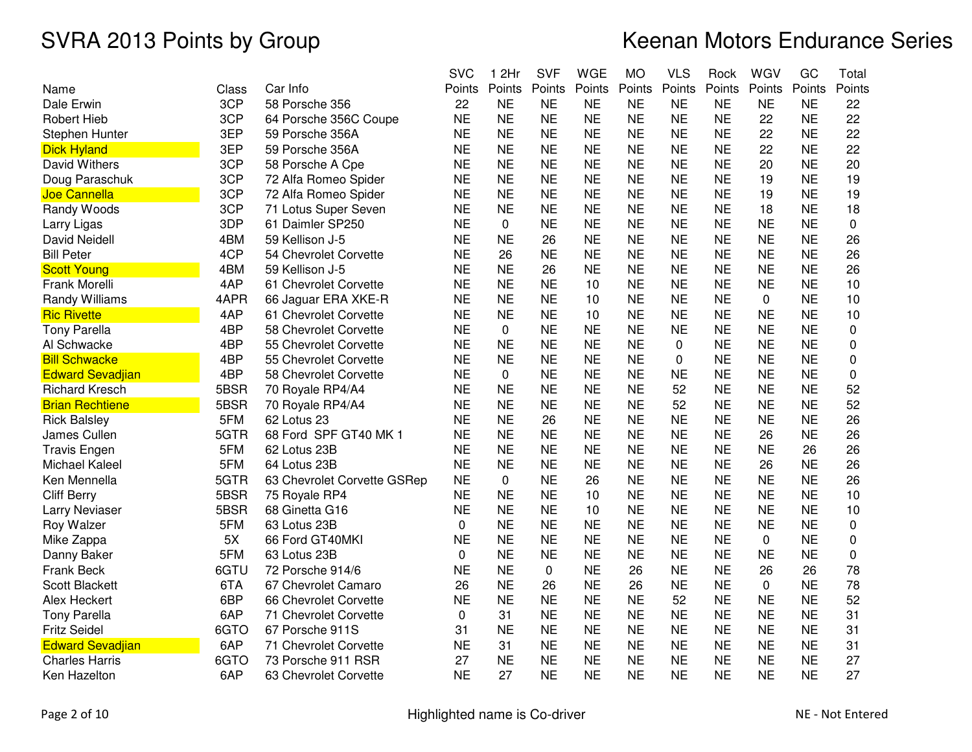|                         |       |                             | <b>SVC</b> | 1 2Hr     | <b>SVF</b> | WGE       | <b>MO</b> | <b>VLS</b> | Rock      | WGV       | GC        | Total    |
|-------------------------|-------|-----------------------------|------------|-----------|------------|-----------|-----------|------------|-----------|-----------|-----------|----------|
| Name                    | Class | Car Info                    | Points     | Points    | Points     | Points    | Points    | Points     | Points    | Points    | Points    | Points   |
| Dale Erwin              | 3CP   | 58 Porsche 356              | 22         | <b>NE</b> | <b>NE</b>  | <b>NE</b> | <b>NE</b> | <b>NE</b>  | <b>NE</b> | <b>NE</b> | <b>NE</b> | 22       |
| <b>Robert Hieb</b>      | 3CP   | 64 Porsche 356C Coupe       | <b>NE</b>  | <b>NE</b> | <b>NE</b>  | <b>NE</b> | <b>NE</b> | <b>NE</b>  | <b>NE</b> | 22        | <b>NE</b> | 22       |
| Stephen Hunter          | 3EP   | 59 Porsche 356A             | <b>NE</b>  | <b>NE</b> | <b>NE</b>  | <b>NE</b> | <b>NE</b> | <b>NE</b>  | <b>NE</b> | 22        | <b>NE</b> | 22       |
| <b>Dick Hyland</b>      | 3EP   | 59 Porsche 356A             | <b>NE</b>  | <b>NE</b> | <b>NE</b>  | <b>NE</b> | <b>NE</b> | <b>NE</b>  | <b>NE</b> | 22        | <b>NE</b> | 22       |
| David Withers           | 3CP   | 58 Porsche A Cpe            | <b>NE</b>  | <b>NE</b> | <b>NE</b>  | <b>NE</b> | <b>NE</b> | <b>NE</b>  | <b>NE</b> | 20        | <b>NE</b> | 20       |
| Doug Paraschuk          | 3CP   | 72 Alfa Romeo Spider        | <b>NE</b>  | <b>NE</b> | <b>NE</b>  | <b>NE</b> | <b>NE</b> | <b>NE</b>  | <b>NE</b> | 19        | <b>NE</b> | 19       |
| Joe Cannella            | 3CP   | 72 Alfa Romeo Spider        | <b>NE</b>  | <b>NE</b> | <b>NE</b>  | <b>NE</b> | <b>NE</b> | <b>NE</b>  | <b>NE</b> | 19        | <b>NE</b> | 19       |
| Randy Woods             | 3CP   | 71 Lotus Super Seven        | <b>NE</b>  | <b>NE</b> | <b>NE</b>  | <b>NE</b> | <b>NE</b> | <b>NE</b>  | <b>NE</b> | 18        | <b>NE</b> | 18       |
| Larry Ligas             | 3DP   | 61 Daimler SP250            | <b>NE</b>  | 0         | <b>NE</b>  | <b>NE</b> | <b>NE</b> | <b>NE</b>  | <b>NE</b> | <b>NE</b> | <b>NE</b> | 0        |
| <b>David Neidell</b>    | 4BM   | 59 Kellison J-5             | <b>NE</b>  | <b>NE</b> | 26         | <b>NE</b> | <b>NE</b> | <b>NE</b>  | <b>NE</b> | <b>NE</b> | <b>NE</b> | 26       |
| <b>Bill Peter</b>       | 4CP   | 54 Chevrolet Corvette       | <b>NE</b>  | 26        | <b>NE</b>  | <b>NE</b> | <b>NE</b> | <b>NE</b>  | <b>NE</b> | <b>NE</b> | <b>NE</b> | 26       |
| <b>Scott Young</b>      | 4BM   | 59 Kellison J-5             | <b>NE</b>  | <b>NE</b> | 26         | <b>NE</b> | <b>NE</b> | <b>NE</b>  | <b>NE</b> | <b>NE</b> | <b>NE</b> | 26       |
| Frank Morelli           | 4AP   | 61 Chevrolet Corvette       | <b>NE</b>  | <b>NE</b> | <b>NE</b>  | 10        | <b>NE</b> | <b>NE</b>  | <b>NE</b> | <b>NE</b> | <b>NE</b> | 10       |
| Randy Williams          | 4APR  | 66 Jaguar ERA XKE-R         | <b>NE</b>  | <b>NE</b> | <b>NE</b>  | 10        | <b>NE</b> | <b>NE</b>  | <b>NE</b> | 0         | <b>NE</b> | 10       |
| <b>Ric Rivette</b>      | 4AP   | 61 Chevrolet Corvette       | <b>NE</b>  | <b>NE</b> | <b>NE</b>  | 10        | <b>NE</b> | <b>NE</b>  | <b>NE</b> | <b>NE</b> | <b>NE</b> | 10       |
| <b>Tony Parella</b>     | 4BP   | 58 Chevrolet Corvette       | <b>NE</b>  | $\Omega$  | <b>NE</b>  | <b>NE</b> | <b>NE</b> | <b>NE</b>  | <b>NE</b> | <b>NE</b> | <b>NE</b> | $\Omega$ |
| Al Schwacke             | 4BP   | 55 Chevrolet Corvette       | <b>NE</b>  | <b>NE</b> | <b>NE</b>  | <b>NE</b> | <b>NE</b> | 0          | <b>NE</b> | <b>NE</b> | <b>NE</b> | 0        |
| <b>Bill Schwacke</b>    | 4BP   | 55 Chevrolet Corvette       | <b>NE</b>  | <b>NE</b> | <b>NE</b>  | <b>NE</b> | <b>NE</b> | 0          | <b>NE</b> | <b>NE</b> | <b>NE</b> | 0        |
| <b>Edward Sevadjian</b> | 4BP   | 58 Chevrolet Corvette       | <b>NE</b>  | 0         | <b>NE</b>  | <b>NE</b> | <b>NE</b> | <b>NE</b>  | <b>NE</b> | <b>NE</b> | <b>NE</b> | 0        |
| <b>Richard Kresch</b>   | 5BSR  | 70 Royale RP4/A4            | <b>NE</b>  | <b>NE</b> | <b>NE</b>  | <b>NE</b> | <b>NE</b> | 52         | <b>NE</b> | <b>NE</b> | <b>NE</b> | 52       |
| <b>Brian Rechtiene</b>  | 5BSR  | 70 Royale RP4/A4            | <b>NE</b>  | <b>NE</b> | <b>NE</b>  | <b>NE</b> | <b>NE</b> | 52         | <b>NE</b> | <b>NE</b> | <b>NE</b> | 52       |
| <b>Rick Balsley</b>     | 5FM   | 62 Lotus 23                 | <b>NE</b>  | <b>NE</b> | 26         | <b>NE</b> | <b>NE</b> | <b>NE</b>  | <b>NE</b> | <b>NE</b> | <b>NE</b> | 26       |
| James Cullen            | 5GTR  | 68 Ford SPF GT40 MK 1       | <b>NE</b>  | <b>NE</b> | <b>NE</b>  | <b>NE</b> | <b>NE</b> | <b>NE</b>  | <b>NE</b> | 26        | <b>NE</b> | 26       |
| <b>Travis Engen</b>     | 5FM   | 62 Lotus 23B                | <b>NE</b>  | <b>NE</b> | <b>NE</b>  | <b>NE</b> | <b>NE</b> | <b>NE</b>  | <b>NE</b> | <b>NE</b> | 26        | 26       |
| Michael Kaleel          | 5FM   | 64 Lotus 23B                | <b>NE</b>  | <b>NE</b> | <b>NE</b>  | <b>NE</b> | <b>NE</b> | <b>NE</b>  | <b>NE</b> | 26        | <b>NE</b> | 26       |
| Ken Mennella            | 5GTR  | 63 Chevrolet Corvette GSRep | <b>NE</b>  | 0         | <b>NE</b>  | 26        | <b>NE</b> | <b>NE</b>  | <b>NE</b> | <b>NE</b> | <b>NE</b> | 26       |
| <b>Cliff Berry</b>      | 5BSR  | 75 Royale RP4               | <b>NE</b>  | <b>NE</b> | <b>NE</b>  | 10        | <b>NE</b> | <b>NE</b>  | <b>NE</b> | <b>NE</b> | <b>NE</b> | 10       |
| Larry Neviaser          | 5BSR  | 68 Ginetta G16              | <b>NE</b>  | <b>NE</b> | <b>NE</b>  | 10        | <b>NE</b> | <b>NE</b>  | <b>NE</b> | <b>NE</b> | <b>NE</b> | 10       |
| Roy Walzer              | 5FM   | 63 Lotus 23B                | 0          | <b>NE</b> | <b>NE</b>  | <b>NE</b> | <b>NE</b> | <b>NE</b>  | <b>NE</b> | <b>NE</b> | <b>NE</b> | 0        |
| Mike Zappa              | 5X    | 66 Ford GT40MKI             | <b>NE</b>  | <b>NE</b> | <b>NE</b>  | <b>NE</b> | <b>NE</b> | <b>NE</b>  | <b>NE</b> | $\Omega$  | <b>NE</b> | 0        |
| Danny Baker             | 5FM   | 63 Lotus 23B                | 0          | <b>NE</b> | <b>NE</b>  | <b>NE</b> | <b>NE</b> | <b>NE</b>  | <b>NE</b> | <b>NE</b> | <b>NE</b> | 0        |
| <b>Frank Beck</b>       | 6GTU  | 72 Porsche 914/6            | <b>NE</b>  | <b>NE</b> | 0          | <b>NE</b> | 26        | <b>NE</b>  | <b>NE</b> | 26        | 26        | 78       |
| <b>Scott Blackett</b>   | 6TA   | 67 Chevrolet Camaro         | 26         | <b>NE</b> | 26         | <b>NE</b> | 26        | <b>NE</b>  | <b>NE</b> | $\Omega$  | <b>NE</b> | 78       |
| Alex Heckert            | 6BP   | 66 Chevrolet Corvette       | <b>NE</b>  | <b>NE</b> | <b>NE</b>  | <b>NE</b> | <b>NE</b> | 52         | <b>NE</b> | <b>NE</b> | <b>NE</b> | 52       |
| <b>Tony Parella</b>     | 6AP   | 71 Chevrolet Corvette       | 0          | 31        | <b>NE</b>  | <b>NE</b> | <b>NE</b> | <b>NE</b>  | <b>NE</b> | <b>NE</b> | <b>NE</b> | 31       |
| <b>Fritz Seidel</b>     | 6GTO  | 67 Porsche 911S             | 31         | <b>NE</b> | <b>NE</b>  | <b>NE</b> | <b>NE</b> | <b>NE</b>  | <b>NE</b> | <b>NE</b> | <b>NE</b> | 31       |
| <b>Edward Sevadjian</b> | 6AP   | 71 Chevrolet Corvette       | <b>NE</b>  | 31        | <b>NE</b>  | <b>NE</b> | <b>NE</b> | <b>NE</b>  | <b>NE</b> | <b>NE</b> | <b>NE</b> | 31       |
| <b>Charles Harris</b>   | 6GTO  | 73 Porsche 911 RSR          | 27         | <b>NE</b> | <b>NE</b>  | <b>NE</b> | <b>NE</b> | <b>NE</b>  | <b>NE</b> | <b>NE</b> | <b>NE</b> | 27       |
| Ken Hazelton            | 6AP   | 63 Chevrolet Corvette       | <b>NE</b>  | 27        | <b>NE</b>  | <b>NE</b> | <b>NE</b> | <b>NE</b>  | <b>NE</b> | <b>NE</b> | <b>NE</b> | 27       |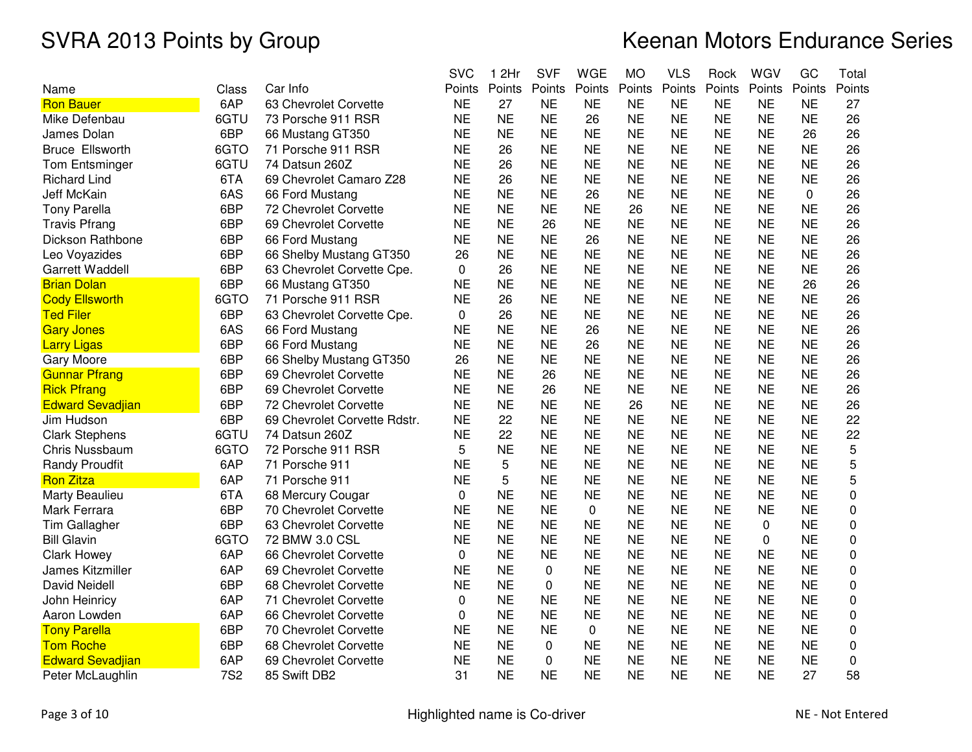|                         |            |                              | <b>SVC</b> | 1 2Hr     | <b>SVF</b> | <b>WGE</b>  | <b>MO</b> | <b>VLS</b> | Rock      | WGV       | GC        | Total  |
|-------------------------|------------|------------------------------|------------|-----------|------------|-------------|-----------|------------|-----------|-----------|-----------|--------|
| Name                    | Class      | Car Info                     | Points     | Points    | Points     | Points      | Points    | Points     | Points    | Points    | Points    | Points |
| <b>Ron Bauer</b>        | 6AP        | 63 Chevrolet Corvette        | <b>NE</b>  | 27        | <b>NE</b>  | <b>NE</b>   | <b>NE</b> | <b>NE</b>  | <b>NE</b> | <b>NE</b> | <b>NE</b> | 27     |
| Mike Defenbau           | 6GTU       | 73 Porsche 911 RSR           | <b>NE</b>  | <b>NE</b> | <b>NE</b>  | 26          | <b>NE</b> | <b>NE</b>  | <b>NE</b> | <b>NE</b> | <b>NE</b> | 26     |
| James Dolan             | 6BP        | 66 Mustang GT350             | <b>NE</b>  | <b>NE</b> | <b>NE</b>  | <b>NE</b>   | <b>NE</b> | <b>NE</b>  | <b>NE</b> | <b>NE</b> | 26        | 26     |
| <b>Bruce Ellsworth</b>  | 6GTO       | 71 Porsche 911 RSR           | <b>NE</b>  | 26        | <b>NE</b>  | <b>NE</b>   | <b>NE</b> | <b>NE</b>  | <b>NE</b> | <b>NE</b> | <b>NE</b> | 26     |
| Tom Entsminger          | 6GTU       | 74 Datsun 260Z               | <b>NE</b>  | 26        | <b>NE</b>  | <b>NE</b>   | <b>NE</b> | <b>NE</b>  | <b>NE</b> | <b>NE</b> | <b>NE</b> | 26     |
| <b>Richard Lind</b>     | 6TA        | 69 Chevrolet Camaro Z28      | <b>NE</b>  | 26        | <b>NE</b>  | <b>NE</b>   | <b>NE</b> | <b>NE</b>  | <b>NE</b> | <b>NE</b> | <b>NE</b> | 26     |
| <b>Jeff McKain</b>      | 6AS        | 66 Ford Mustang              | <b>NE</b>  | <b>NE</b> | <b>NE</b>  | 26          | <b>NE</b> | <b>NE</b>  | <b>NE</b> | <b>NE</b> | 0         | 26     |
| <b>Tony Parella</b>     | 6BP        | 72 Chevrolet Corvette        | <b>NE</b>  | <b>NE</b> | <b>NE</b>  | <b>NE</b>   | 26        | <b>NE</b>  | <b>NE</b> | <b>NE</b> | <b>NE</b> | 26     |
| <b>Travis Pfrang</b>    | 6BP        | 69 Chevrolet Corvette        | <b>NE</b>  | <b>NE</b> | 26         | <b>NE</b>   | <b>NE</b> | <b>NE</b>  | <b>NE</b> | <b>NE</b> | <b>NE</b> | 26     |
| Dickson Rathbone        | 6BP        | 66 Ford Mustang              | <b>NE</b>  | <b>NE</b> | <b>NE</b>  | 26          | <b>NE</b> | <b>NE</b>  | <b>NE</b> | <b>NE</b> | <b>NE</b> | 26     |
| Leo Voyazides           | 6BP        | 66 Shelby Mustang GT350      | 26         | <b>NE</b> | <b>NE</b>  | <b>NE</b>   | <b>NE</b> | <b>NE</b>  | <b>NE</b> | <b>NE</b> | <b>NE</b> | 26     |
| <b>Garrett Waddell</b>  | 6BP        | 63 Chevrolet Corvette Cpe.   | $\Omega$   | 26        | <b>NE</b>  | <b>NE</b>   | <b>NE</b> | <b>NE</b>  | <b>NE</b> | <b>NE</b> | <b>NE</b> | 26     |
| <b>Brian Dolan</b>      | 6BP        | 66 Mustang GT350             | <b>NE</b>  | <b>NE</b> | <b>NE</b>  | <b>NE</b>   | <b>NE</b> | <b>NE</b>  | <b>NE</b> | <b>NE</b> | 26        | 26     |
| <b>Cody Ellsworth</b>   | 6GTO       | 71 Porsche 911 RSR           | <b>NE</b>  | 26        | <b>NE</b>  | <b>NE</b>   | <b>NE</b> | <b>NE</b>  | <b>NE</b> | <b>NE</b> | <b>NE</b> | 26     |
| <b>Ted Filer</b>        | 6BP        | 63 Chevrolet Corvette Cpe.   | $\Omega$   | 26        | <b>NE</b>  | <b>NE</b>   | <b>NE</b> | <b>NE</b>  | <b>NE</b> | <b>NE</b> | <b>NE</b> | 26     |
| <b>Gary Jones</b>       | 6AS        | 66 Ford Mustang              | <b>NE</b>  | <b>NE</b> | <b>NE</b>  | 26          | <b>NE</b> | <b>NE</b>  | <b>NE</b> | <b>NE</b> | <b>NE</b> | 26     |
| <b>Larry Ligas</b>      | 6BP        | 66 Ford Mustang              | <b>NE</b>  | <b>NE</b> | <b>NE</b>  | 26          | <b>NE</b> | <b>NE</b>  | <b>NE</b> | <b>NE</b> | <b>NE</b> | 26     |
| <b>Gary Moore</b>       | 6BP        | 66 Shelby Mustang GT350      | 26         | <b>NE</b> | <b>NE</b>  | <b>NE</b>   | <b>NE</b> | <b>NE</b>  | <b>NE</b> | <b>NE</b> | <b>NE</b> | 26     |
| <b>Gunnar Pfrang</b>    | 6BP        | 69 Chevrolet Corvette        | <b>NE</b>  | <b>NE</b> | 26         | <b>NE</b>   | <b>NE</b> | <b>NE</b>  | <b>NE</b> | <b>NE</b> | <b>NE</b> | 26     |
| <b>Rick Pfrang</b>      | 6BP        | 69 Chevrolet Corvette        | <b>NE</b>  | <b>NE</b> | 26         | <b>NE</b>   | <b>NE</b> | <b>NE</b>  | <b>NE</b> | <b>NE</b> | <b>NE</b> | 26     |
| <b>Edward Sevadjian</b> | 6BP        | 72 Chevrolet Corvette        | <b>NE</b>  | <b>NE</b> | <b>NE</b>  | <b>NE</b>   | 26        | <b>NE</b>  | <b>NE</b> | <b>NE</b> | <b>NE</b> | 26     |
| Jim Hudson              | 6BP        | 69 Chevrolet Corvette Rdstr. | <b>NE</b>  | 22        | <b>NE</b>  | <b>NE</b>   | <b>NE</b> | <b>NE</b>  | <b>NE</b> | <b>NE</b> | <b>NE</b> | 22     |
| <b>Clark Stephens</b>   | 6GTU       | 74 Datsun 260Z               | <b>NE</b>  | 22        | <b>NE</b>  | <b>NE</b>   | <b>NE</b> | <b>NE</b>  | <b>NE</b> | <b>NE</b> | <b>NE</b> | 22     |
| <b>Chris Nussbaum</b>   | 6GTO       | 72 Porsche 911 RSR           | 5          | <b>NE</b> | <b>NE</b>  | <b>NE</b>   | <b>NE</b> | <b>NE</b>  | <b>NE</b> | <b>NE</b> | <b>NE</b> | 5      |
| <b>Randy Proudfit</b>   | 6AP        | 71 Porsche 911               | <b>NE</b>  | 5         | <b>NE</b>  | <b>NE</b>   | <b>NE</b> | <b>NE</b>  | <b>NE</b> | <b>NE</b> | <b>NE</b> | 5      |
| <b>Ron Zitza</b>        | 6AP        | 71 Porsche 911               | <b>NE</b>  | 5         | <b>NE</b>  | <b>NE</b>   | <b>NE</b> | <b>NE</b>  | <b>NE</b> | <b>NE</b> | <b>NE</b> | 5      |
| Marty Beaulieu          | 6TA        | 68 Mercury Cougar            | 0          | <b>NE</b> | <b>NE</b>  | <b>NE</b>   | <b>NE</b> | <b>NE</b>  | <b>NE</b> | <b>NE</b> | <b>NE</b> | 0      |
| Mark Ferrara            | 6BP        | 70 Chevrolet Corvette        | <b>NE</b>  | <b>NE</b> | <b>NE</b>  | $\mathbf 0$ | <b>NE</b> | <b>NE</b>  | <b>NE</b> | <b>NE</b> | <b>NE</b> | 0      |
| <b>Tim Gallagher</b>    | 6BP        | 63 Chevrolet Corvette        | <b>NE</b>  | <b>NE</b> | <b>NE</b>  | <b>NE</b>   | <b>NE</b> | <b>NE</b>  | <b>NE</b> | 0         | <b>NE</b> | 0      |
| <b>Bill Glavin</b>      | 6GTO       | 72 BMW 3.0 CSL               | <b>NE</b>  | <b>NE</b> | <b>NE</b>  | <b>NE</b>   | <b>NE</b> | <b>NE</b>  | <b>NE</b> | 0         | <b>NE</b> | 0      |
| <b>Clark Howey</b>      | 6AP        | 66 Chevrolet Corvette        | 0          | <b>NE</b> | <b>NE</b>  | <b>NE</b>   | <b>NE</b> | <b>NE</b>  | <b>NE</b> | <b>NE</b> | <b>NE</b> | 0      |
| James Kitzmiller        | 6AP        | 69 Chevrolet Corvette        | <b>NE</b>  | <b>NE</b> | 0          | <b>NE</b>   | <b>NE</b> | <b>NE</b>  | <b>NE</b> | <b>NE</b> | <b>NE</b> | 0      |
| <b>David Neidell</b>    | 6BP        | 68 Chevrolet Corvette        | <b>NE</b>  | <b>NE</b> | 0          | <b>NE</b>   | <b>NE</b> | <b>NE</b>  | <b>NE</b> | <b>NE</b> | <b>NE</b> | 0      |
| John Heinricy           | 6AP        | 71 Chevrolet Corvette        | 0          | <b>NE</b> | <b>NE</b>  | <b>NE</b>   | <b>NE</b> | <b>NE</b>  | <b>NE</b> | <b>NE</b> | <b>NE</b> | 0      |
| Aaron Lowden            | 6AP        | 66 Chevrolet Corvette        | 0          | <b>NE</b> | <b>NE</b>  | <b>NE</b>   | <b>NE</b> | <b>NE</b>  | <b>NE</b> | <b>NE</b> | <b>NE</b> | 0      |
| <b>Tony Parella</b>     | 6BP        | 70 Chevrolet Corvette        | <b>NE</b>  | <b>NE</b> | <b>NE</b>  | 0           | <b>NE</b> | <b>NE</b>  | <b>NE</b> | <b>NE</b> | <b>NE</b> | 0      |
| <b>Tom Roche</b>        | 6BP        | 68 Chevrolet Corvette        | <b>NE</b>  | <b>NE</b> | 0          | <b>NE</b>   | <b>NE</b> | <b>NE</b>  | <b>NE</b> | <b>NE</b> | <b>NE</b> | 0      |
| <b>Edward Sevadjian</b> | 6AP        | 69 Chevrolet Corvette        | <b>NE</b>  | <b>NE</b> | 0          | <b>NE</b>   | <b>NE</b> | <b>NE</b>  | <b>NE</b> | <b>NE</b> | <b>NE</b> | 0      |
| Peter McLaughlin        | <b>7S2</b> | 85 Swift DB2                 | 31         | <b>NE</b> | <b>NE</b>  | <b>NE</b>   | <b>NE</b> | <b>NE</b>  | <b>NE</b> | <b>NE</b> | 27        | 58     |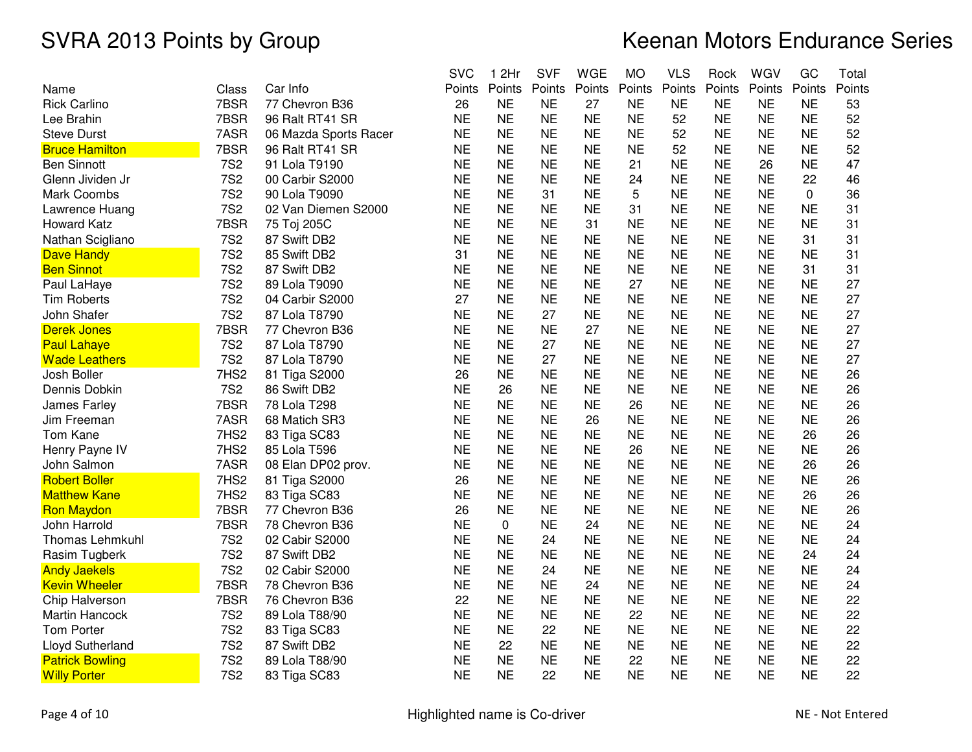|                        |            |                       | <b>SVC</b> | 1 2Hr     | <b>SVF</b> | <b>WGE</b> | <b>MO</b> | <b>VLS</b> | Rock      | WGV       | GC        | Total  |
|------------------------|------------|-----------------------|------------|-----------|------------|------------|-----------|------------|-----------|-----------|-----------|--------|
| Name                   | Class      | Car Info              | Points     | Points    | Points     | Points     | Points    | Points     | Points    | Points    | Points    | Points |
| <b>Rick Carlino</b>    | 7BSR       | 77 Chevron B36        | 26         | <b>NE</b> | <b>NE</b>  | 27         | <b>NE</b> | <b>NE</b>  | <b>NE</b> | <b>NE</b> | <b>NE</b> | 53     |
| Lee Brahin             | 7BSR       | 96 Ralt RT41 SR       | <b>NE</b>  | <b>NE</b> | <b>NE</b>  | <b>NE</b>  | <b>NE</b> | 52         | <b>NE</b> | <b>NE</b> | <b>NE</b> | 52     |
| <b>Steve Durst</b>     | 7ASR       | 06 Mazda Sports Racer | <b>NE</b>  | <b>NE</b> | <b>NE</b>  | <b>NE</b>  | <b>NE</b> | 52         | <b>NE</b> | <b>NE</b> | <b>NE</b> | 52     |
| <b>Bruce Hamilton</b>  | 7BSR       | 96 Ralt RT41 SR       | <b>NE</b>  | <b>NE</b> | <b>NE</b>  | <b>NE</b>  | <b>NE</b> | 52         | <b>NE</b> | <b>NE</b> | <b>NE</b> | 52     |
| <b>Ben Sinnott</b>     | <b>7S2</b> | 91 Lola T9190         | <b>NE</b>  | <b>NE</b> | <b>NE</b>  | <b>NE</b>  | 21        | <b>NE</b>  | <b>NE</b> | 26        | <b>NE</b> | 47     |
| Glenn Jividen Jr       | <b>7S2</b> | 00 Carbir S2000       | <b>NE</b>  | <b>NE</b> | <b>NE</b>  | <b>NE</b>  | 24        | <b>NE</b>  | <b>NE</b> | <b>NE</b> | 22        | 46     |
| <b>Mark Coombs</b>     | <b>7S2</b> | 90 Lola T9090         | <b>NE</b>  | <b>NE</b> | 31         | <b>NE</b>  | 5         | <b>NE</b>  | <b>NE</b> | <b>NE</b> | 0         | 36     |
| Lawrence Huang         | <b>7S2</b> | 02 Van Diemen S2000   | <b>NE</b>  | <b>NE</b> | <b>NE</b>  | <b>NE</b>  | 31        | <b>NE</b>  | <b>NE</b> | <b>NE</b> | <b>NE</b> | 31     |
| <b>Howard Katz</b>     | 7BSR       | 75 Toj 205C           | <b>NE</b>  | <b>NE</b> | <b>NE</b>  | 31         | <b>NE</b> | <b>NE</b>  | <b>NE</b> | <b>NE</b> | <b>NE</b> | 31     |
| Nathan Scigliano       | <b>7S2</b> | 87 Swift DB2          | <b>NE</b>  | <b>NE</b> | <b>NE</b>  | <b>NE</b>  | <b>NE</b> | <b>NE</b>  | <b>NE</b> | <b>NE</b> | 31        | 31     |
| <b>Dave Handy</b>      | <b>7S2</b> | 85 Swift DB2          | 31         | <b>NE</b> | <b>NE</b>  | <b>NE</b>  | <b>NE</b> | <b>NE</b>  | <b>NE</b> | <b>NE</b> | <b>NE</b> | 31     |
| <b>Ben Sinnot</b>      | <b>7S2</b> | 87 Swift DB2          | <b>NE</b>  | <b>NE</b> | <b>NE</b>  | <b>NE</b>  | <b>NE</b> | <b>NE</b>  | <b>NE</b> | <b>NE</b> | 31        | 31     |
| Paul LaHaye            | <b>7S2</b> | 89 Lola T9090         | <b>NE</b>  | <b>NE</b> | <b>NE</b>  | <b>NE</b>  | 27        | <b>NE</b>  | <b>NE</b> | <b>NE</b> | <b>NE</b> | 27     |
| <b>Tim Roberts</b>     | <b>7S2</b> | 04 Carbir S2000       | 27         | <b>NE</b> | <b>NE</b>  | <b>NE</b>  | <b>NE</b> | <b>NE</b>  | <b>NE</b> | <b>NE</b> | <b>NE</b> | 27     |
| John Shafer            | <b>7S2</b> | 87 Lola T8790         | <b>NE</b>  | <b>NE</b> | 27         | <b>NE</b>  | <b>NE</b> | <b>NE</b>  | <b>NE</b> | <b>NE</b> | <b>NE</b> | 27     |
| <b>Derek Jones</b>     | 7BSR       | 77 Chevron B36        | <b>NE</b>  | <b>NE</b> | <b>NE</b>  | 27         | <b>NE</b> | <b>NE</b>  | <b>NE</b> | <b>NE</b> | <b>NE</b> | 27     |
| <b>Paul Lahaye</b>     | <b>7S2</b> | 87 Lola T8790         | <b>NE</b>  | <b>NE</b> | 27         | <b>NE</b>  | <b>NE</b> | <b>NE</b>  | <b>NE</b> | <b>NE</b> | <b>NE</b> | 27     |
| <b>Wade Leathers</b>   | <b>7S2</b> | 87 Lola T8790         | <b>NE</b>  | <b>NE</b> | 27         | <b>NE</b>  | <b>NE</b> | <b>NE</b>  | <b>NE</b> | <b>NE</b> | <b>NE</b> | 27     |
| Josh Boller            | 7HS2       | 81 Tiga S2000         | 26         | <b>NE</b> | <b>NE</b>  | <b>NE</b>  | <b>NE</b> | <b>NE</b>  | <b>NE</b> | <b>NE</b> | <b>NE</b> | 26     |
| Dennis Dobkin          | <b>7S2</b> | 86 Swift DB2          | <b>NE</b>  | 26        | <b>NE</b>  | <b>NE</b>  | <b>NE</b> | <b>NE</b>  | <b>NE</b> | <b>NE</b> | <b>NE</b> | 26     |
| James Farley           | 7BSR       | 78 Lola T298          | <b>NE</b>  | <b>NE</b> | <b>NE</b>  | <b>NE</b>  | 26        | <b>NE</b>  | <b>NE</b> | <b>NE</b> | <b>NE</b> | 26     |
| Jim Freeman            | 7ASR       | 68 Matich SR3         | <b>NE</b>  | <b>NE</b> | <b>NE</b>  | 26         | <b>NE</b> | <b>NE</b>  | <b>NE</b> | <b>NE</b> | <b>NE</b> | 26     |
| Tom Kane               | 7HS2       | 83 Tiga SC83          | <b>NE</b>  | <b>NE</b> | <b>NE</b>  | <b>NE</b>  | <b>NE</b> | <b>NE</b>  | <b>NE</b> | <b>NE</b> | 26        | 26     |
| Henry Payne IV         | 7HS2       | 85 Lola T596          | <b>NE</b>  | <b>NE</b> | <b>NE</b>  | <b>NE</b>  | 26        | <b>NE</b>  | <b>NE</b> | <b>NE</b> | <b>NE</b> | 26     |
| John Salmon            | 7ASR       | 08 Elan DP02 prov.    | <b>NE</b>  | <b>NE</b> | <b>NE</b>  | <b>NE</b>  | <b>NE</b> | <b>NE</b>  | <b>NE</b> | <b>NE</b> | 26        | 26     |
| <b>Robert Boller</b>   | 7HS2       | 81 Tiga S2000         | 26         | <b>NE</b> | <b>NE</b>  | <b>NE</b>  | <b>NE</b> | <b>NE</b>  | <b>NE</b> | <b>NE</b> | <b>NE</b> | 26     |
| <b>Matthew Kane</b>    | 7HS2       | 83 Tiga SC83          | <b>NE</b>  | <b>NE</b> | <b>NE</b>  | <b>NE</b>  | <b>NE</b> | <b>NE</b>  | <b>NE</b> | <b>NE</b> | 26        | 26     |
| <b>Ron Maydon</b>      | 7BSR       | 77 Chevron B36        | 26         | <b>NE</b> | <b>NE</b>  | <b>NE</b>  | <b>NE</b> | <b>NE</b>  | <b>NE</b> | <b>NE</b> | <b>NE</b> | 26     |
| John Harrold           | 7BSR       | 78 Chevron B36        | <b>NE</b>  | 0         | <b>NE</b>  | 24         | <b>NE</b> | <b>NE</b>  | <b>NE</b> | <b>NE</b> | <b>NE</b> | 24     |
| Thomas Lehmkuhl        | <b>7S2</b> | 02 Cabir S2000        | <b>NE</b>  | <b>NE</b> | 24         | <b>NE</b>  | <b>NE</b> | <b>NE</b>  | <b>NE</b> | <b>NE</b> | <b>NE</b> | 24     |
| Rasim Tugberk          | <b>7S2</b> | 87 Swift DB2          | <b>NE</b>  | <b>NE</b> | <b>NE</b>  | <b>NE</b>  | <b>NE</b> | <b>NE</b>  | <b>NE</b> | <b>NE</b> | 24        | 24     |
| <b>Andy Jaekels</b>    | <b>7S2</b> | 02 Cabir S2000        | <b>NE</b>  | <b>NE</b> | 24         | <b>NE</b>  | <b>NE</b> | <b>NE</b>  | <b>NE</b> | <b>NE</b> | <b>NE</b> | 24     |
| <b>Kevin Wheeler</b>   | 7BSR       | 78 Chevron B36        | <b>NE</b>  | <b>NE</b> | <b>NE</b>  | 24         | <b>NE</b> | <b>NE</b>  | <b>NE</b> | <b>NE</b> | <b>NE</b> | 24     |
| Chip Halverson         | 7BSR       | 76 Chevron B36        | 22         | <b>NE</b> | <b>NE</b>  | <b>NE</b>  | <b>NE</b> | <b>NE</b>  | <b>NE</b> | <b>NE</b> | <b>NE</b> | 22     |
| <b>Martin Hancock</b>  | <b>7S2</b> | 89 Lola T88/90        | <b>NE</b>  | <b>NE</b> | <b>NE</b>  | <b>NE</b>  | 22        | <b>NE</b>  | <b>NE</b> | <b>NE</b> | <b>NE</b> | 22     |
| <b>Tom Porter</b>      | <b>7S2</b> | 83 Tiga SC83          | <b>NE</b>  | <b>NE</b> | 22         | <b>NE</b>  | <b>NE</b> | <b>NE</b>  | <b>NE</b> | <b>NE</b> | <b>NE</b> | 22     |
| Lloyd Sutherland       | <b>7S2</b> | 87 Swift DB2          | <b>NE</b>  | 22        | <b>NE</b>  | <b>NE</b>  | <b>NE</b> | <b>NE</b>  | <b>NE</b> | <b>NE</b> | <b>NE</b> | 22     |
| <b>Patrick Bowling</b> | <b>7S2</b> | 89 Lola T88/90        | <b>NE</b>  | <b>NE</b> | <b>NE</b>  | <b>NE</b>  | 22        | <b>NE</b>  | <b>NE</b> | <b>NE</b> | <b>NE</b> | 22     |
| <b>Willy Porter</b>    | <b>7S2</b> | 83 Tiga SC83          | <b>NE</b>  | <b>NE</b> | 22         | <b>NE</b>  | <b>NE</b> | <b>NE</b>  | <b>NE</b> | <b>NE</b> | <b>NE</b> | 22     |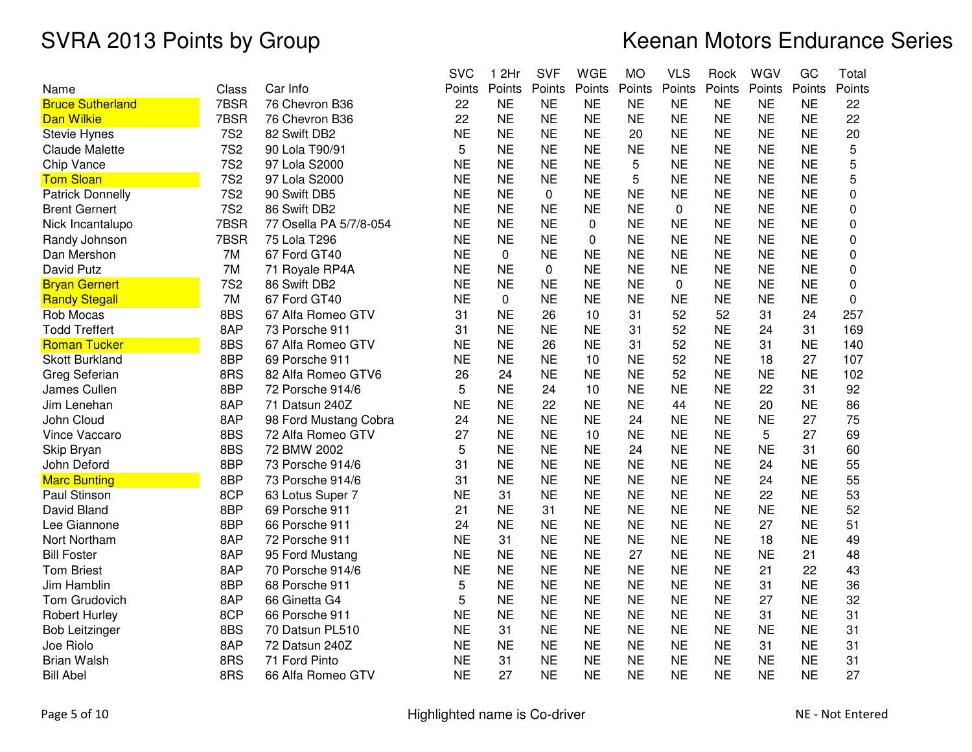|                         |            |                        | <b>SVC</b> | 1 2Hr     | <b>SVF</b> | <b>WGE</b>  | <b>MO</b> | <b>VLS</b> | Rock      | WGV       | GC        | Total    |
|-------------------------|------------|------------------------|------------|-----------|------------|-------------|-----------|------------|-----------|-----------|-----------|----------|
| Name                    | Class      | Car Info               | Points     | Points    | Points     | Points      | Points    | Points     | Points    | Points    | Points    | Points   |
| <b>Bruce Sutherland</b> | 7BSR       | 76 Chevron B36         | 22         | <b>NE</b> | <b>NE</b>  | <b>NE</b>   | <b>NE</b> | <b>NE</b>  | <b>NE</b> | <b>NE</b> | <b>NE</b> | 22       |
| <b>Dan Wilkie</b>       | 7BSR       | 76 Chevron B36         | 22         | <b>NE</b> | <b>NE</b>  | <b>NE</b>   | <b>NE</b> | <b>NE</b>  | <b>NE</b> | <b>NE</b> | <b>NE</b> | 22       |
| <b>Stevie Hynes</b>     | <b>7S2</b> | 82 Swift DB2           | <b>NE</b>  | <b>NE</b> | <b>NE</b>  | <b>NE</b>   | 20        | <b>NE</b>  | <b>NE</b> | <b>NE</b> | <b>NE</b> | 20       |
| <b>Claude Malette</b>   | <b>7S2</b> | 90 Lola T90/91         | 5          | <b>NE</b> | <b>NE</b>  | <b>NE</b>   | <b>NE</b> | <b>NE</b>  | <b>NE</b> | <b>NE</b> | <b>NE</b> | 5        |
| Chip Vance              | <b>7S2</b> | 97 Lola S2000          | <b>NE</b>  | <b>NE</b> | <b>NE</b>  | <b>NE</b>   | 5         | <b>NE</b>  | <b>NE</b> | <b>NE</b> | <b>NE</b> | 5        |
| <b>Tom Sloan</b>        | <b>7S2</b> | 97 Lola S2000          | <b>NE</b>  | <b>NE</b> | <b>NE</b>  | <b>NE</b>   | 5         | <b>NE</b>  | <b>NE</b> | <b>NE</b> | <b>NE</b> | 5        |
| <b>Patrick Donnelly</b> | <b>7S2</b> | 90 Swift DB5           | <b>NE</b>  | <b>NE</b> | 0          | <b>NE</b>   | <b>NE</b> | <b>NE</b>  | <b>NE</b> | <b>NE</b> | <b>NE</b> | 0        |
| <b>Brent Gernert</b>    | <b>7S2</b> | 86 Swift DB2           | <b>NE</b>  | <b>NE</b> | <b>NE</b>  | <b>NE</b>   | <b>NE</b> | 0          | <b>NE</b> | <b>NE</b> | <b>NE</b> | 0        |
| Nick Incantalupo        | 7BSR       | 77 Osella PA 5/7/8-054 | <b>NE</b>  | <b>NE</b> | <b>NE</b>  | $\mathbf 0$ | <b>NE</b> | <b>NE</b>  | <b>NE</b> | <b>NE</b> | <b>NE</b> | 0        |
| Randy Johnson           | 7BSR       | 75 Lola T296           | <b>NE</b>  | <b>NE</b> | <b>NE</b>  | $\mathbf 0$ | <b>NE</b> | <b>NE</b>  | <b>NE</b> | <b>NE</b> | <b>NE</b> | 0        |
| Dan Mershon             | 7M         | 67 Ford GT40           | <b>NE</b>  | 0         | <b>NE</b>  | <b>NE</b>   | <b>NE</b> | <b>NE</b>  | <b>NE</b> | <b>NE</b> | <b>NE</b> | 0        |
| David Putz              | 7M         | 71 Royale RP4A         | <b>NE</b>  | <b>NE</b> | 0          | <b>NE</b>   | <b>NE</b> | <b>NE</b>  | <b>NE</b> | <b>NE</b> | <b>NE</b> | 0        |
| <b>Bryan Gernert</b>    | <b>7S2</b> | 86 Swift DB2           | <b>NE</b>  | <b>NE</b> | <b>NE</b>  | <b>NE</b>   | <b>NE</b> | 0          | <b>NE</b> | <b>NE</b> | <b>NE</b> | 0        |
| <b>Randy Stegall</b>    | 7M         | 67 Ford GT40           | <b>NE</b>  | 0         | <b>NE</b>  | <b>NE</b>   | <b>NE</b> | <b>NE</b>  | <b>NE</b> | <b>NE</b> | <b>NE</b> | $\Omega$ |
| Rob Mocas               | 8BS        | 67 Alfa Romeo GTV      | 31         | <b>NE</b> | 26         | 10          | 31        | 52         | 52        | 31        | 24        | 257      |
| <b>Todd Treffert</b>    | 8AP        | 73 Porsche 911         | 31         | <b>NE</b> | <b>NE</b>  | <b>NE</b>   | 31        | 52         | <b>NE</b> | 24        | 31        | 169      |
| <b>Roman Tucker</b>     | 8BS        | 67 Alfa Romeo GTV      | <b>NE</b>  | <b>NE</b> | 26         | <b>NE</b>   | 31        | 52         | <b>NE</b> | 31        | <b>NE</b> | 140      |
| <b>Skott Burkland</b>   | 8BP        | 69 Porsche 911         | <b>NE</b>  | <b>NE</b> | <b>NE</b>  | 10          | <b>NE</b> | 52         | <b>NE</b> | 18        | 27        | 107      |
| Greg Seferian           | 8RS        | 82 Alfa Romeo GTV6     | 26         | 24        | <b>NE</b>  | <b>NE</b>   | <b>NE</b> | 52         | <b>NE</b> | <b>NE</b> | <b>NE</b> | 102      |
| James Cullen            | 8BP        | 72 Porsche 914/6       | 5          | <b>NE</b> | 24         | 10          | <b>NE</b> | <b>NE</b>  | <b>NE</b> | 22        | 31        | 92       |
| Jim Lenehan             | 8AP        | 71 Datsun 240Z         | <b>NE</b>  | <b>NE</b> | 22         | <b>NE</b>   | <b>NE</b> | 44         | <b>NE</b> | 20        | <b>NE</b> | 86       |
| John Cloud              | 8AP        | 98 Ford Mustang Cobra  | 24         | <b>NE</b> | <b>NE</b>  | <b>NE</b>   | 24        | <b>NE</b>  | <b>NE</b> | <b>NE</b> | 27        | 75       |
| Vince Vaccaro           | 8BS        | 72 Alfa Romeo GTV      | 27         | <b>NE</b> | <b>NE</b>  | 10          | <b>NE</b> | <b>NE</b>  | <b>NE</b> | 5         | 27        | 69       |
| Skip Bryan              | 8BS        | 72 BMW 2002            | 5          | <b>NE</b> | <b>NE</b>  | <b>NE</b>   | 24        | <b>NE</b>  | <b>NE</b> | <b>NE</b> | 31        | 60       |
| John Deford             | 8BP        | 73 Porsche 914/6       | 31         | <b>NE</b> | <b>NE</b>  | <b>NE</b>   | <b>NE</b> | <b>NE</b>  | <b>NE</b> | 24        | <b>NE</b> | 55       |
| <b>Marc Bunting</b>     | 8BP        | 73 Porsche 914/6       | 31         | <b>NE</b> | <b>NE</b>  | <b>NE</b>   | <b>NE</b> | <b>NE</b>  | <b>NE</b> | 24        | <b>NE</b> | 55       |
| Paul Stinson            | 8CP        | 63 Lotus Super 7       | <b>NE</b>  | 31        | <b>NE</b>  | <b>NE</b>   | <b>NE</b> | <b>NE</b>  | <b>NE</b> | 22        | <b>NE</b> | 53       |
| David Bland             | 8BP        | 69 Porsche 911         | 21         | <b>NE</b> | 31         | <b>NE</b>   | <b>NE</b> | <b>NE</b>  | <b>NE</b> | <b>NE</b> | <b>NE</b> | 52       |
| Lee Giannone            | 8BP        | 66 Porsche 911         | 24         | <b>NE</b> | <b>NE</b>  | <b>NE</b>   | <b>NE</b> | <b>NE</b>  | <b>NE</b> | 27        | <b>NE</b> | 51       |
| Nort Northam            | 8AP        | 72 Porsche 911         | <b>NE</b>  | 31        | <b>NE</b>  | <b>NE</b>   | <b>NE</b> | <b>NE</b>  | <b>NE</b> | 18        | <b>NE</b> | 49       |
| <b>Bill Foster</b>      | 8AP        | 95 Ford Mustang        | <b>NE</b>  | <b>NE</b> | <b>NE</b>  | <b>NE</b>   | 27        | <b>NE</b>  | <b>NE</b> | <b>NE</b> | 21        | 48       |
| <b>Tom Briest</b>       | 8AP        | 70 Porsche 914/6       | <b>NE</b>  | <b>NE</b> | <b>NE</b>  | <b>NE</b>   | <b>NE</b> | <b>NE</b>  | <b>NE</b> | 21        | 22        | 43       |
| Jim Hamblin             | 8BP        | 68 Porsche 911         | 5          | <b>NE</b> | <b>NE</b>  | <b>NE</b>   | <b>NE</b> | <b>NE</b>  | <b>NE</b> | 31        | <b>NE</b> | 36       |
| Tom Grudovich           | 8AP        | 66 Ginetta G4          | 5          | <b>NE</b> | <b>NE</b>  | <b>NE</b>   | <b>NE</b> | <b>NE</b>  | <b>NE</b> | 27        | <b>NE</b> | 32       |
| <b>Robert Hurley</b>    | 8CP        | 66 Porsche 911         | <b>NE</b>  | <b>NE</b> | <b>NE</b>  | <b>NE</b>   | <b>NE</b> | <b>NE</b>  | <b>NE</b> | 31        | <b>NE</b> | 31       |
| <b>Bob Leitzinger</b>   | 8BS        | 70 Datsun PL510        | <b>NE</b>  | 31        | <b>NE</b>  | <b>NE</b>   | <b>NE</b> | <b>NE</b>  | <b>NE</b> | <b>NE</b> | <b>NE</b> | 31       |
| Joe Riolo               | 8AP        | 72 Datsun 240Z         | <b>NE</b>  | <b>NE</b> | <b>NE</b>  | <b>NE</b>   | <b>NE</b> | <b>NE</b>  | <b>NE</b> | 31        | <b>NE</b> | 31       |
| <b>Brian Walsh</b>      | 8RS        | 71 Ford Pinto          | <b>NE</b>  | 31        | <b>NE</b>  | <b>NE</b>   | <b>NE</b> | <b>NE</b>  | <b>NE</b> | <b>NE</b> | <b>NE</b> | 31       |
| <b>Bill Abel</b>        | 8RS        | 66 Alfa Romeo GTV      | <b>NE</b>  | 27        | <b>NE</b>  | <b>NE</b>   | <b>NE</b> | <b>NE</b>  | <b>NE</b> | <b>NE</b> | <b>NE</b> | 27       |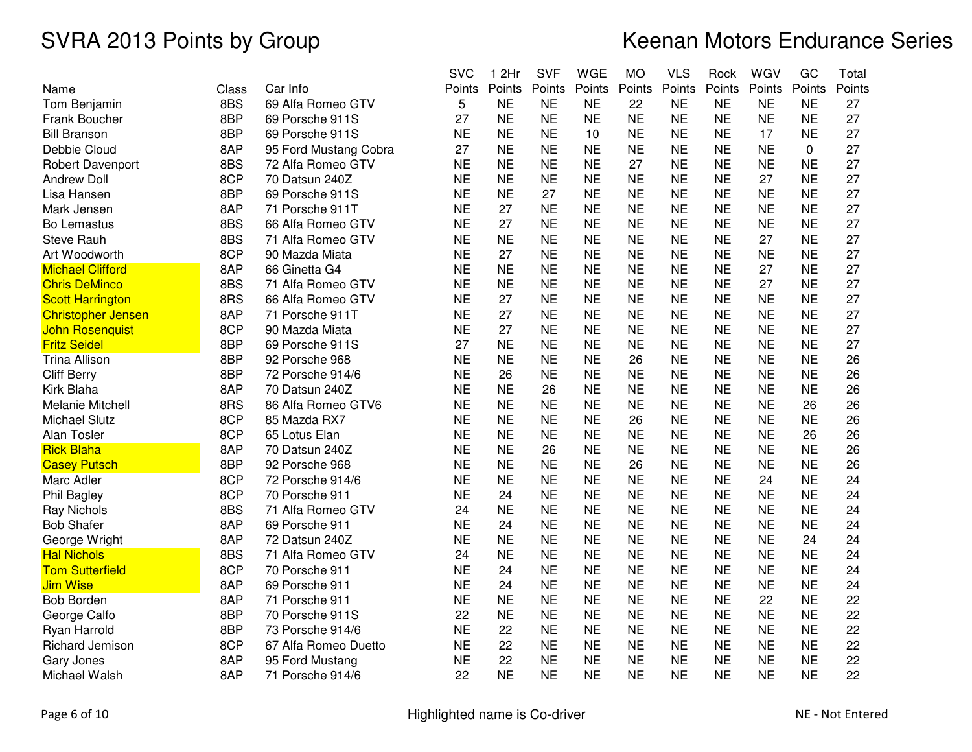|                           |       |                       | <b>SVC</b> | 1 2Hr     | <b>SVF</b> | <b>WGE</b> | <b>MO</b> | <b>VLS</b> | Rock      | WGV       | GC        | Total  |
|---------------------------|-------|-----------------------|------------|-----------|------------|------------|-----------|------------|-----------|-----------|-----------|--------|
| Name                      | Class | Car Info              | Points     | Points    | Points     | Points     | Points    | Points     | Points    | Points    | Points    | Points |
| Tom Benjamin              | 8BS   | 69 Alfa Romeo GTV     | 5          | <b>NE</b> | <b>NE</b>  | <b>NE</b>  | 22        | <b>NE</b>  | <b>NE</b> | <b>NE</b> | <b>NE</b> | 27     |
| Frank Boucher             | 8BP   | 69 Porsche 911S       | 27         | <b>NE</b> | <b>NE</b>  | <b>NE</b>  | <b>NE</b> | <b>NE</b>  | <b>NE</b> | <b>NE</b> | <b>NE</b> | 27     |
| <b>Bill Branson</b>       | 8BP   | 69 Porsche 911S       | <b>NE</b>  | <b>NE</b> | <b>NE</b>  | 10         | <b>NE</b> | <b>NE</b>  | <b>NE</b> | 17        | <b>NE</b> | 27     |
| Debbie Cloud              | 8AP   | 95 Ford Mustang Cobra | 27         | <b>NE</b> | <b>NE</b>  | <b>NE</b>  | <b>NE</b> | <b>NE</b>  | <b>NE</b> | <b>NE</b> | 0         | 27     |
| Robert Davenport          | 8BS   | 72 Alfa Romeo GTV     | <b>NE</b>  | <b>NE</b> | <b>NE</b>  | <b>NE</b>  | 27        | <b>NE</b>  | <b>NE</b> | <b>NE</b> | <b>NE</b> | 27     |
| <b>Andrew Doll</b>        | 8CP   | 70 Datsun 240Z        | <b>NE</b>  | <b>NE</b> | <b>NE</b>  | <b>NE</b>  | <b>NE</b> | <b>NE</b>  | <b>NE</b> | 27        | <b>NE</b> | 27     |
| Lisa Hansen               | 8BP   | 69 Porsche 911S       | <b>NE</b>  | <b>NE</b> | 27         | <b>NE</b>  | <b>NE</b> | <b>NE</b>  | <b>NE</b> | <b>NE</b> | <b>NE</b> | 27     |
| Mark Jensen               | 8AP   | 71 Porsche 911T       | <b>NE</b>  | 27        | <b>NE</b>  | <b>NE</b>  | <b>NE</b> | <b>NE</b>  | <b>NE</b> | <b>NE</b> | <b>NE</b> | 27     |
| Bo Lemastus               | 8BS   | 66 Alfa Romeo GTV     | <b>NE</b>  | 27        | <b>NE</b>  | <b>NE</b>  | <b>NE</b> | <b>NE</b>  | <b>NE</b> | <b>NE</b> | <b>NE</b> | 27     |
| <b>Steve Rauh</b>         | 8BS   | 71 Alfa Romeo GTV     | <b>NE</b>  | <b>NE</b> | <b>NE</b>  | <b>NE</b>  | <b>NE</b> | <b>NE</b>  | <b>NE</b> | 27        | <b>NE</b> | 27     |
| Art Woodworth             | 8CP   | 90 Mazda Miata        | <b>NE</b>  | 27        | <b>NE</b>  | <b>NE</b>  | <b>NE</b> | <b>NE</b>  | <b>NE</b> | <b>NE</b> | <b>NE</b> | 27     |
| <b>Michael Clifford</b>   | 8AP   | 66 Ginetta G4         | <b>NE</b>  | <b>NE</b> | <b>NE</b>  | <b>NE</b>  | <b>NE</b> | <b>NE</b>  | <b>NE</b> | 27        | <b>NE</b> | 27     |
| <b>Chris DeMinco</b>      | 8BS   | 71 Alfa Romeo GTV     | <b>NE</b>  | <b>NE</b> | <b>NE</b>  | <b>NE</b>  | <b>NE</b> | <b>NE</b>  | <b>NE</b> | 27        | <b>NE</b> | 27     |
| <b>Scott Harrington</b>   | 8RS   | 66 Alfa Romeo GTV     | <b>NE</b>  | 27        | <b>NE</b>  | <b>NE</b>  | <b>NE</b> | <b>NE</b>  | <b>NE</b> | <b>NE</b> | <b>NE</b> | 27     |
| <b>Christopher Jensen</b> | 8AP   | 71 Porsche 911T       | <b>NE</b>  | 27        | <b>NE</b>  | <b>NE</b>  | <b>NE</b> | <b>NE</b>  | <b>NE</b> | <b>NE</b> | <b>NE</b> | 27     |
| <b>John Rosenquist</b>    | 8CP   | 90 Mazda Miata        | <b>NE</b>  | 27        | <b>NE</b>  | <b>NE</b>  | <b>NE</b> | <b>NE</b>  | <b>NE</b> | <b>NE</b> | <b>NE</b> | 27     |
| <b>Fritz Seidel</b>       | 8BP   | 69 Porsche 911S       | 27         | <b>NE</b> | <b>NE</b>  | <b>NE</b>  | <b>NE</b> | <b>NE</b>  | <b>NE</b> | <b>NE</b> | <b>NE</b> | 27     |
| <b>Trina Allison</b>      | 8BP   | 92 Porsche 968        | <b>NE</b>  | <b>NE</b> | <b>NE</b>  | <b>NE</b>  | 26        | <b>NE</b>  | <b>NE</b> | <b>NE</b> | <b>NE</b> | 26     |
| <b>Cliff Berry</b>        | 8BP   | 72 Porsche 914/6      | <b>NE</b>  | 26        | <b>NE</b>  | <b>NE</b>  | <b>NE</b> | <b>NE</b>  | <b>NE</b> | <b>NE</b> | <b>NE</b> | 26     |
| Kirk Blaha                | 8AP   | 70 Datsun 240Z        | <b>NE</b>  | <b>NE</b> | 26         | <b>NE</b>  | <b>NE</b> | <b>NE</b>  | <b>NE</b> | <b>NE</b> | <b>NE</b> | 26     |
| Melanie Mitchell          | 8RS   | 86 Alfa Romeo GTV6    | <b>NE</b>  | <b>NE</b> | <b>NE</b>  | <b>NE</b>  | <b>NE</b> | <b>NE</b>  | <b>NE</b> | <b>NE</b> | 26        | 26     |
| <b>Michael Slutz</b>      | 8CP   | 85 Mazda RX7          | <b>NE</b>  | <b>NE</b> | <b>NE</b>  | <b>NE</b>  | 26        | <b>NE</b>  | <b>NE</b> | <b>NE</b> | <b>NE</b> | 26     |
| <b>Alan Tosler</b>        | 8CP   | 65 Lotus Elan         | <b>NE</b>  | <b>NE</b> | <b>NE</b>  | <b>NE</b>  | <b>NE</b> | <b>NE</b>  | <b>NE</b> | <b>NE</b> | 26        | 26     |
| <b>Rick Blaha</b>         | 8AP   | 70 Datsun 240Z        | <b>NE</b>  | <b>NE</b> | 26         | <b>NE</b>  | <b>NE</b> | <b>NE</b>  | <b>NE</b> | <b>NE</b> | <b>NE</b> | 26     |
| <b>Casey Putsch</b>       | 8BP   | 92 Porsche 968        | <b>NE</b>  | <b>NE</b> | <b>NE</b>  | <b>NE</b>  | 26        | <b>NE</b>  | <b>NE</b> | <b>NE</b> | <b>NE</b> | 26     |
| Marc Adler                | 8CP   | 72 Porsche 914/6      | <b>NE</b>  | <b>NE</b> | <b>NE</b>  | <b>NE</b>  | <b>NE</b> | <b>NE</b>  | <b>NE</b> | 24        | <b>NE</b> | 24     |
| Phil Bagley               | 8CP   | 70 Porsche 911        | <b>NE</b>  | 24        | <b>NE</b>  | <b>NE</b>  | <b>NE</b> | <b>NE</b>  | <b>NE</b> | <b>NE</b> | <b>NE</b> | 24     |
| <b>Ray Nichols</b>        | 8BS   | 71 Alfa Romeo GTV     | 24         | <b>NE</b> | <b>NE</b>  | <b>NE</b>  | <b>NE</b> | <b>NE</b>  | <b>NE</b> | <b>NE</b> | <b>NE</b> | 24     |
| <b>Bob Shafer</b>         | 8AP   | 69 Porsche 911        | <b>NE</b>  | 24        | <b>NE</b>  | <b>NE</b>  | <b>NE</b> | <b>NE</b>  | <b>NE</b> | <b>NE</b> | <b>NE</b> | 24     |
| George Wright             | 8AP   | 72 Datsun 240Z        | <b>NE</b>  | <b>NE</b> | <b>NE</b>  | <b>NE</b>  | <b>NE</b> | <b>NE</b>  | <b>NE</b> | <b>NE</b> | 24        | 24     |
| <b>Hal Nichols</b>        | 8BS   | 71 Alfa Romeo GTV     | 24         | <b>NE</b> | <b>NE</b>  | <b>NE</b>  | <b>NE</b> | <b>NE</b>  | <b>NE</b> | <b>NE</b> | <b>NE</b> | 24     |
| <b>Tom Sutterfield</b>    | 8CP   | 70 Porsche 911        | <b>NE</b>  | 24        | <b>NE</b>  | <b>NE</b>  | <b>NE</b> | <b>NE</b>  | <b>NE</b> | <b>NE</b> | <b>NE</b> | 24     |
| <b>Jim Wise</b>           | 8AP   | 69 Porsche 911        | <b>NE</b>  | 24        | <b>NE</b>  | <b>NE</b>  | <b>NE</b> | <b>NE</b>  | <b>NE</b> | <b>NE</b> | <b>NE</b> | 24     |
| <b>Bob Borden</b>         | 8AP   | 71 Porsche 911        | <b>NE</b>  | <b>NE</b> | <b>NE</b>  | <b>NE</b>  | <b>NE</b> | <b>NE</b>  | <b>NE</b> | 22        | <b>NE</b> | 22     |
| George Calfo              | 8BP   | 70 Porsche 911S       | 22         | <b>NE</b> | <b>NE</b>  | <b>NE</b>  | <b>NE</b> | <b>NE</b>  | <b>NE</b> | <b>NE</b> | <b>NE</b> | 22     |
| Ryan Harrold              | 8BP   | 73 Porsche 914/6      | <b>NE</b>  | 22        | <b>NE</b>  | <b>NE</b>  | <b>NE</b> | <b>NE</b>  | <b>NE</b> | <b>NE</b> | <b>NE</b> | 22     |
| Richard Jemison           | 8CP   | 67 Alfa Romeo Duetto  | <b>NE</b>  | 22        | <b>NE</b>  | <b>NE</b>  | <b>NE</b> | <b>NE</b>  | <b>NE</b> | <b>NE</b> | <b>NE</b> | 22     |
| Gary Jones                | 8AP   | 95 Ford Mustang       | <b>NE</b>  | 22        | <b>NE</b>  | <b>NE</b>  | <b>NE</b> | <b>NE</b>  | <b>NE</b> | <b>NE</b> | <b>NE</b> | 22     |
| Michael Walsh             | 8AP   | 71 Porsche 914/6      | 22         | <b>NE</b> | <b>NE</b>  | <b>NE</b>  | <b>NE</b> | <b>NE</b>  | <b>NE</b> | <b>NE</b> | <b>NE</b> | 22     |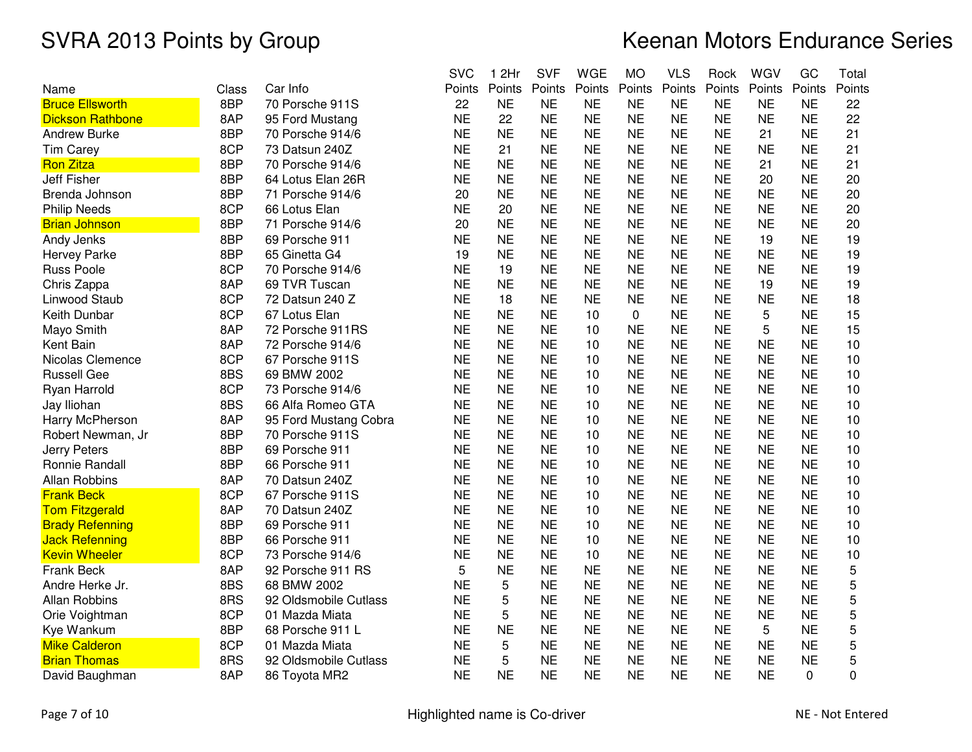|                         |       |                       | <b>SVC</b> | 1 2Hr     | <b>SVF</b> | <b>WGE</b> | <b>MO</b> | <b>VLS</b> | Rock      | WGV       | GC        | Total  |
|-------------------------|-------|-----------------------|------------|-----------|------------|------------|-----------|------------|-----------|-----------|-----------|--------|
| Name                    | Class | Car Info              | Points     | Points    | Points     | Points     | Points    | Points     | Points    | Points    | Points    | Points |
| <b>Bruce Ellsworth</b>  | 8BP   | 70 Porsche 911S       | 22         | <b>NE</b> | <b>NE</b>  | <b>NE</b>  | <b>NE</b> | <b>NE</b>  | <b>NE</b> | <b>NE</b> | <b>NE</b> | 22     |
| <b>Dickson Rathbone</b> | 8AP   | 95 Ford Mustang       | <b>NE</b>  | 22        | <b>NE</b>  | <b>NE</b>  | <b>NE</b> | <b>NE</b>  | <b>NE</b> | <b>NE</b> | <b>NE</b> | 22     |
| <b>Andrew Burke</b>     | 8BP   | 70 Porsche 914/6      | <b>NE</b>  | <b>NE</b> | <b>NE</b>  | <b>NE</b>  | <b>NE</b> | <b>NE</b>  | <b>NE</b> | 21        | <b>NE</b> | 21     |
| <b>Tim Carey</b>        | 8CP   | 73 Datsun 240Z        | <b>NE</b>  | 21        | <b>NE</b>  | <b>NE</b>  | <b>NE</b> | <b>NE</b>  | <b>NE</b> | <b>NE</b> | <b>NE</b> | 21     |
| <b>Ron Zitza</b>        | 8BP   | 70 Porsche 914/6      | <b>NE</b>  | <b>NE</b> | <b>NE</b>  | <b>NE</b>  | <b>NE</b> | <b>NE</b>  | <b>NE</b> | 21        | <b>NE</b> | 21     |
| <b>Jeff Fisher</b>      | 8BP   | 64 Lotus Elan 26R     | <b>NE</b>  | <b>NE</b> | <b>NE</b>  | <b>NE</b>  | <b>NE</b> | <b>NE</b>  | <b>NE</b> | 20        | <b>NE</b> | 20     |
| Brenda Johnson          | 8BP   | 71 Porsche 914/6      | 20         | <b>NE</b> | <b>NE</b>  | <b>NE</b>  | <b>NE</b> | <b>NE</b>  | <b>NE</b> | <b>NE</b> | <b>NE</b> | 20     |
| <b>Philip Needs</b>     | 8CP   | 66 Lotus Elan         | <b>NE</b>  | 20        | <b>NE</b>  | <b>NE</b>  | <b>NE</b> | <b>NE</b>  | <b>NE</b> | <b>NE</b> | <b>NE</b> | 20     |
| <b>Brian Johnson</b>    | 8BP   | 71 Porsche 914/6      | 20         | <b>NE</b> | <b>NE</b>  | <b>NE</b>  | <b>NE</b> | <b>NE</b>  | <b>NE</b> | <b>NE</b> | <b>NE</b> | 20     |
| Andy Jenks              | 8BP   | 69 Porsche 911        | <b>NE</b>  | <b>NE</b> | <b>NE</b>  | <b>NE</b>  | <b>NE</b> | <b>NE</b>  | <b>NE</b> | 19        | <b>NE</b> | 19     |
| <b>Hervey Parke</b>     | 8BP   | 65 Ginetta G4         | 19         | <b>NE</b> | <b>NE</b>  | <b>NE</b>  | <b>NE</b> | <b>NE</b>  | <b>NE</b> | <b>NE</b> | <b>NE</b> | 19     |
| Russ Poole              | 8CP   | 70 Porsche 914/6      | <b>NE</b>  | 19        | <b>NE</b>  | <b>NE</b>  | <b>NE</b> | <b>NE</b>  | <b>NE</b> | <b>NE</b> | <b>NE</b> | 19     |
| Chris Zappa             | 8AP   | 69 TVR Tuscan         | <b>NE</b>  | <b>NE</b> | <b>NE</b>  | <b>NE</b>  | <b>NE</b> | <b>NE</b>  | <b>NE</b> | 19        | <b>NE</b> | 19     |
| Linwood Staub           | 8CP   | 72 Datsun 240 Z       | <b>NE</b>  | 18        | <b>NE</b>  | <b>NE</b>  | <b>NE</b> | <b>NE</b>  | <b>NE</b> | <b>NE</b> | <b>NE</b> | 18     |
| Keith Dunbar            | 8CP   | 67 Lotus Elan         | <b>NE</b>  | <b>NE</b> | <b>NE</b>  | 10         | 0         | <b>NE</b>  | <b>NE</b> | 5         | <b>NE</b> | 15     |
| Mayo Smith              | 8AP   | 72 Porsche 911RS      | <b>NE</b>  | <b>NE</b> | <b>NE</b>  | 10         | <b>NE</b> | <b>NE</b>  | <b>NE</b> | 5         | <b>NE</b> | 15     |
| Kent Bain               | 8AP   | 72 Porsche 914/6      | <b>NE</b>  | <b>NE</b> | <b>NE</b>  | 10         | <b>NE</b> | <b>NE</b>  | <b>NE</b> | <b>NE</b> | <b>NE</b> | 10     |
| Nicolas Clemence        | 8CP   | 67 Porsche 911S       | <b>NE</b>  | <b>NE</b> | <b>NE</b>  | 10         | <b>NE</b> | <b>NE</b>  | <b>NE</b> | <b>NE</b> | <b>NE</b> | 10     |
| <b>Russell Gee</b>      | 8BS   | 69 BMW 2002           | <b>NE</b>  | <b>NE</b> | <b>NE</b>  | 10         | <b>NE</b> | <b>NE</b>  | <b>NE</b> | <b>NE</b> | <b>NE</b> | 10     |
| Ryan Harrold            | 8CP   | 73 Porsche 914/6      | <b>NE</b>  | <b>NE</b> | <b>NE</b>  | 10         | <b>NE</b> | <b>NE</b>  | <b>NE</b> | <b>NE</b> | <b>NE</b> | 10     |
| Jay Iliohan             | 8BS   | 66 Alfa Romeo GTA     | <b>NE</b>  | <b>NE</b> | <b>NE</b>  | 10         | <b>NE</b> | <b>NE</b>  | <b>NE</b> | <b>NE</b> | <b>NE</b> | 10     |
| Harry McPherson         | 8AP   | 95 Ford Mustang Cobra | <b>NE</b>  | <b>NE</b> | <b>NE</b>  | 10         | <b>NE</b> | <b>NE</b>  | <b>NE</b> | <b>NE</b> | <b>NE</b> | 10     |
| Robert Newman, Jr       | 8BP   | 70 Porsche 911S       | <b>NE</b>  | <b>NE</b> | <b>NE</b>  | 10         | <b>NE</b> | <b>NE</b>  | <b>NE</b> | <b>NE</b> | <b>NE</b> | 10     |
| <b>Jerry Peters</b>     | 8BP   | 69 Porsche 911        | <b>NE</b>  | <b>NE</b> | <b>NE</b>  | 10         | <b>NE</b> | <b>NE</b>  | <b>NE</b> | <b>NE</b> | <b>NE</b> | 10     |
| Ronnie Randall          | 8BP   | 66 Porsche 911        | <b>NE</b>  | <b>NE</b> | <b>NE</b>  | 10         | <b>NE</b> | <b>NE</b>  | <b>NE</b> | <b>NE</b> | <b>NE</b> | 10     |
| <b>Allan Robbins</b>    | 8AP   | 70 Datsun 240Z        | <b>NE</b>  | <b>NE</b> | <b>NE</b>  | 10         | <b>NE</b> | <b>NE</b>  | <b>NE</b> | <b>NE</b> | <b>NE</b> | 10     |
| <b>Frank Beck</b>       | 8CP   | 67 Porsche 911S       | <b>NE</b>  | <b>NE</b> | <b>NE</b>  | 10         | <b>NE</b> | <b>NE</b>  | <b>NE</b> | <b>NE</b> | <b>NE</b> | 10     |
| <b>Tom Fitzgerald</b>   | 8AP   | 70 Datsun 240Z        | <b>NE</b>  | <b>NE</b> | <b>NE</b>  | 10         | <b>NE</b> | <b>NE</b>  | <b>NE</b> | <b>NE</b> | <b>NE</b> | 10     |
| <b>Brady Refenning</b>  | 8BP   | 69 Porsche 911        | <b>NE</b>  | <b>NE</b> | <b>NE</b>  | 10         | <b>NE</b> | <b>NE</b>  | <b>NE</b> | <b>NE</b> | <b>NE</b> | 10     |
| <b>Jack Refenning</b>   | 8BP   | 66 Porsche 911        | <b>NE</b>  | <b>NE</b> | <b>NE</b>  | 10         | <b>NE</b> | <b>NE</b>  | <b>NE</b> | <b>NE</b> | <b>NE</b> | 10     |
| <b>Kevin Wheeler</b>    | 8CP   | 73 Porsche 914/6      | <b>NE</b>  | <b>NE</b> | <b>NE</b>  | 10         | <b>NE</b> | <b>NE</b>  | <b>NE</b> | <b>NE</b> | <b>NE</b> | 10     |
| Frank Beck              | 8AP   | 92 Porsche 911 RS     | 5          | <b>NE</b> | <b>NE</b>  | <b>NE</b>  | <b>NE</b> | <b>NE</b>  | <b>NE</b> | <b>NE</b> | <b>NE</b> | 5      |
| Andre Herke Jr.         | 8BS   | 68 BMW 2002           | <b>NE</b>  | 5         | <b>NE</b>  | <b>NE</b>  | <b>NE</b> | <b>NE</b>  | <b>NE</b> | <b>NE</b> | <b>NE</b> | 5      |
| <b>Allan Robbins</b>    | 8RS   | 92 Oldsmobile Cutlass | <b>NE</b>  | 5         | <b>NE</b>  | <b>NE</b>  | <b>NE</b> | <b>NE</b>  | <b>NE</b> | <b>NE</b> | <b>NE</b> | 5      |
| Orie Voightman          | 8CP   | 01 Mazda Miata        | <b>NE</b>  | 5         | <b>NE</b>  | <b>NE</b>  | <b>NE</b> | <b>NE</b>  | <b>NE</b> | <b>NE</b> | <b>NE</b> | 5      |
| Kye Wankum              | 8BP   | 68 Porsche 911 L      | <b>NE</b>  | <b>NE</b> | <b>NE</b>  | <b>NE</b>  | <b>NE</b> | <b>NE</b>  | <b>NE</b> | 5         | <b>NE</b> | 5      |
| <b>Mike Calderon</b>    | 8CP   | 01 Mazda Miata        | <b>NE</b>  | 5         | <b>NE</b>  | <b>NE</b>  | <b>NE</b> | <b>NE</b>  | <b>NE</b> | <b>NE</b> | <b>NE</b> | 5      |
| <b>Brian Thomas</b>     | 8RS   | 92 Oldsmobile Cutlass | <b>NE</b>  | 5         | <b>NE</b>  | <b>NE</b>  | <b>NE</b> | <b>NE</b>  | <b>NE</b> | <b>NE</b> | <b>NE</b> | 5      |
| David Baughman          | 8AP   | 86 Toyota MR2         | <b>NE</b>  | <b>NE</b> | <b>NE</b>  | <b>NE</b>  | <b>NE</b> | <b>NE</b>  | <b>NE</b> | <b>NE</b> | $\Omega$  | 0      |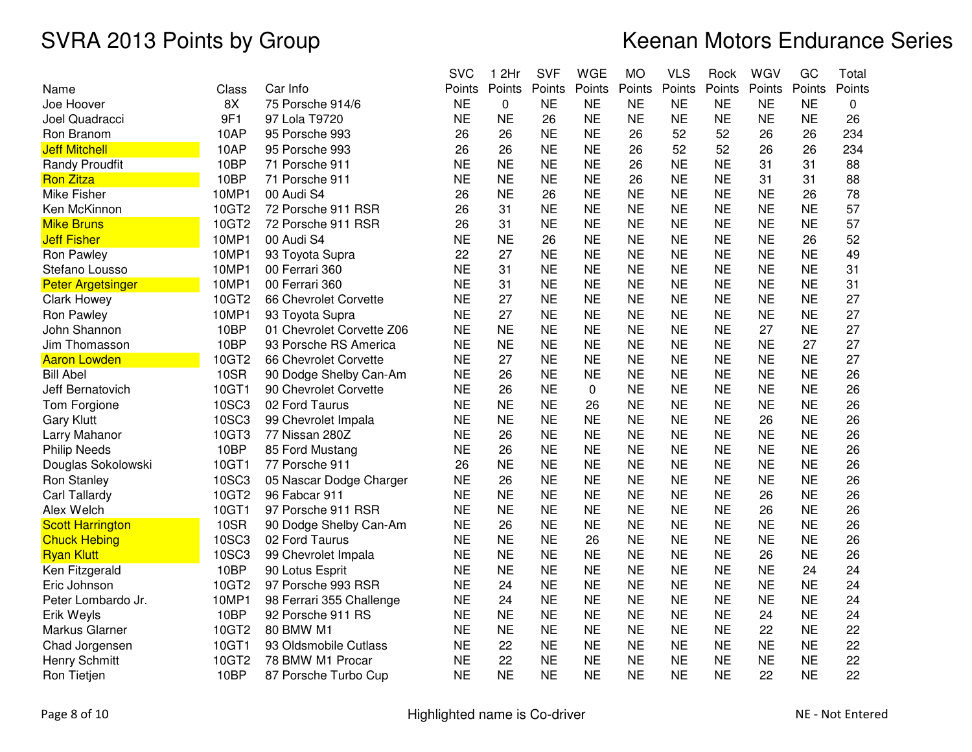|                          |       |                           | <b>SVC</b> | 1 2Hr     | <b>SVF</b> | <b>WGE</b>  | <b>MO</b> | <b>VLS</b> | Rock      | WGV       | GC        | Total  |
|--------------------------|-------|---------------------------|------------|-----------|------------|-------------|-----------|------------|-----------|-----------|-----------|--------|
| Name                     | Class | Car Info                  | Points     | Points    | Points     | Points      | Points    | Points     | Points    | Points    | Points    | Points |
| Joe Hoover               | 8X    | 75 Porsche 914/6          | <b>NE</b>  | 0         | <b>NE</b>  | <b>NE</b>   | <b>NE</b> | <b>NE</b>  | <b>NE</b> | <b>NE</b> | <b>NE</b> | 0      |
| Joel Quadracci           | 9F1   | 97 Lola T9720             | <b>NE</b>  | <b>NE</b> | 26         | <b>NE</b>   | <b>NE</b> | <b>NE</b>  | <b>NE</b> | <b>NE</b> | <b>NE</b> | 26     |
| Ron Branom               | 10AP  | 95 Porsche 993            | 26         | 26        | <b>NE</b>  | <b>NE</b>   | 26        | 52         | 52        | 26        | 26        | 234    |
| <b>Jeff Mitchell</b>     | 10AP  | 95 Porsche 993            | 26         | 26        | <b>NE</b>  | <b>NE</b>   | 26        | 52         | 52        | 26        | 26        | 234    |
| <b>Randy Proudfit</b>    | 10BP  | 71 Porsche 911            | <b>NE</b>  | <b>NE</b> | <b>NE</b>  | <b>NE</b>   | 26        | <b>NE</b>  | <b>NE</b> | 31        | 31        | 88     |
| <b>Ron Zitza</b>         | 10BP  | 71 Porsche 911            | <b>NE</b>  | <b>NE</b> | <b>NE</b>  | <b>NE</b>   | 26        | <b>NE</b>  | <b>NE</b> | 31        | 31        | 88     |
| Mike Fisher              | 10MP1 | 00 Audi S4                | 26         | <b>NE</b> | 26         | <b>NE</b>   | <b>NE</b> | <b>NE</b>  | <b>NE</b> | <b>NE</b> | 26        | 78     |
| Ken McKinnon             | 10GT2 | 72 Porsche 911 RSR        | 26         | 31        | <b>NE</b>  | <b>NE</b>   | <b>NE</b> | <b>NE</b>  | <b>NE</b> | <b>NE</b> | <b>NE</b> | 57     |
| <b>Mike Bruns</b>        | 10GT2 | 72 Porsche 911 RSR        | 26         | 31        | <b>NE</b>  | <b>NE</b>   | <b>NE</b> | <b>NE</b>  | <b>NE</b> | <b>NE</b> | <b>NE</b> | 57     |
| <b>Jeff Fisher</b>       | 10MP1 | 00 Audi S4                | <b>NE</b>  | <b>NE</b> | 26         | <b>NE</b>   | <b>NE</b> | <b>NE</b>  | <b>NE</b> | <b>NE</b> | 26        | 52     |
| Ron Pawley               | 10MP1 | 93 Toyota Supra           | 22         | 27        | <b>NE</b>  | <b>NE</b>   | <b>NE</b> | <b>NE</b>  | <b>NE</b> | <b>NE</b> | <b>NE</b> | 49     |
| Stefano Lousso           | 10MP1 | 00 Ferrari 360            | <b>NE</b>  | 31        | <b>NE</b>  | <b>NE</b>   | <b>NE</b> | <b>NE</b>  | <b>NE</b> | <b>NE</b> | <b>NE</b> | 31     |
| <b>Peter Argetsinger</b> | 10MP1 | 00 Ferrari 360            | <b>NE</b>  | 31        | <b>NE</b>  | <b>NE</b>   | <b>NE</b> | <b>NE</b>  | <b>NE</b> | <b>NE</b> | <b>NE</b> | 31     |
| <b>Clark Howey</b>       | 10GT2 | 66 Chevrolet Corvette     | <b>NE</b>  | 27        | <b>NE</b>  | <b>NE</b>   | <b>NE</b> | <b>NE</b>  | <b>NE</b> | <b>NE</b> | <b>NE</b> | 27     |
| <b>Ron Pawley</b>        | 10MP1 | 93 Toyota Supra           | <b>NE</b>  | 27        | <b>NE</b>  | <b>NE</b>   | <b>NE</b> | <b>NE</b>  | <b>NE</b> | <b>NE</b> | <b>NE</b> | 27     |
| John Shannon             | 10BP  | 01 Chevrolet Corvette Z06 | <b>NE</b>  | <b>NE</b> | <b>NE</b>  | <b>NE</b>   | <b>NE</b> | <b>NE</b>  | <b>NE</b> | 27        | <b>NE</b> | 27     |
| Jim Thomasson            | 10BP  | 93 Porsche RS America     | <b>NE</b>  | <b>NE</b> | <b>NE</b>  | <b>NE</b>   | <b>NE</b> | <b>NE</b>  | <b>NE</b> | <b>NE</b> | 27        | 27     |
| <b>Aaron Lowden</b>      | 10GT2 | 66 Chevrolet Corvette     | <b>NE</b>  | 27        | <b>NE</b>  | <b>NE</b>   | <b>NE</b> | <b>NE</b>  | <b>NE</b> | <b>NE</b> | <b>NE</b> | 27     |
| <b>Bill Abel</b>         | 10SR  | 90 Dodge Shelby Can-Am    | <b>NE</b>  | 26        | <b>NE</b>  | <b>NE</b>   | <b>NE</b> | <b>NE</b>  | <b>NE</b> | <b>NE</b> | <b>NE</b> | 26     |
| Jeff Bernatovich         | 10GT1 | 90 Chevrolet Corvette     | <b>NE</b>  | 26        | <b>NE</b>  | $\mathbf 0$ | <b>NE</b> | <b>NE</b>  | <b>NE</b> | <b>NE</b> | <b>NE</b> | 26     |
| Tom Forgione             | 10SC3 | 02 Ford Taurus            | <b>NE</b>  | <b>NE</b> | <b>NE</b>  | 26          | <b>NE</b> | <b>NE</b>  | <b>NE</b> | <b>NE</b> | <b>NE</b> | 26     |
| <b>Gary Klutt</b>        | 10SC3 | 99 Chevrolet Impala       | <b>NE</b>  | <b>NE</b> | <b>NE</b>  | <b>NE</b>   | <b>NE</b> | <b>NE</b>  | <b>NE</b> | 26        | <b>NE</b> | 26     |
| Larry Mahanor            | 10GT3 | 77 Nissan 280Z            | <b>NE</b>  | 26        | <b>NE</b>  | <b>NE</b>   | <b>NE</b> | <b>NE</b>  | <b>NE</b> | <b>NE</b> | <b>NE</b> | 26     |
| <b>Philip Needs</b>      | 10BP  | 85 Ford Mustang           | <b>NE</b>  | 26        | <b>NE</b>  | <b>NE</b>   | <b>NE</b> | <b>NE</b>  | <b>NE</b> | <b>NE</b> | <b>NE</b> | 26     |
| Douglas Sokolowski       | 10GT1 | 77 Porsche 911            | 26         | <b>NE</b> | <b>NE</b>  | <b>NE</b>   | <b>NE</b> | <b>NE</b>  | <b>NE</b> | <b>NE</b> | <b>NE</b> | 26     |
| Ron Stanley              | 10SC3 | 05 Nascar Dodge Charger   | <b>NE</b>  | 26        | <b>NE</b>  | <b>NE</b>   | <b>NE</b> | <b>NE</b>  | <b>NE</b> | <b>NE</b> | <b>NE</b> | 26     |
| Carl Tallardy            | 10GT2 | 96 Fabcar 911             | <b>NE</b>  | <b>NE</b> | <b>NE</b>  | <b>NE</b>   | <b>NE</b> | <b>NE</b>  | <b>NE</b> | 26        | <b>NE</b> | 26     |
| Alex Welch               | 10GT1 | 97 Porsche 911 RSR        | <b>NE</b>  | <b>NE</b> | <b>NE</b>  | <b>NE</b>   | <b>NE</b> | <b>NE</b>  | <b>NE</b> | 26        | <b>NE</b> | 26     |
| <b>Scott Harrington</b>  | 10SR  | 90 Dodge Shelby Can-Am    | <b>NE</b>  | 26        | <b>NE</b>  | <b>NE</b>   | <b>NE</b> | <b>NE</b>  | <b>NE</b> | <b>NE</b> | <b>NE</b> | 26     |
| <b>Chuck Hebing</b>      | 10SC3 | 02 Ford Taurus            | <b>NE</b>  | <b>NE</b> | <b>NE</b>  | 26          | <b>NE</b> | <b>NE</b>  | <b>NE</b> | <b>NE</b> | <b>NE</b> | 26     |
| <b>Ryan Klutt</b>        | 10SC3 | 99 Chevrolet Impala       | <b>NE</b>  | <b>NE</b> | <b>NE</b>  | <b>NE</b>   | <b>NE</b> | <b>NE</b>  | <b>NE</b> | 26        | <b>NE</b> | 26     |
| Ken Fitzgerald           | 10BP  | 90 Lotus Esprit           | <b>NE</b>  | <b>NE</b> | <b>NE</b>  | <b>NE</b>   | <b>NE</b> | <b>NE</b>  | <b>NE</b> | <b>NE</b> | 24        | 24     |
| Eric Johnson             | 10GT2 | 97 Porsche 993 RSR        | <b>NE</b>  | 24        | <b>NE</b>  | <b>NE</b>   | <b>NE</b> | <b>NE</b>  | <b>NE</b> | <b>NE</b> | <b>NE</b> | 24     |
| Peter Lombardo Jr.       | 10MP1 | 98 Ferrari 355 Challenge  | <b>NE</b>  | 24        | <b>NE</b>  | <b>NE</b>   | <b>NE</b> | <b>NE</b>  | <b>NE</b> | <b>NE</b> | <b>NE</b> | 24     |
| Erik Weyls               | 10BP  | 92 Porsche 911 RS         | <b>NE</b>  | <b>NE</b> | <b>NE</b>  | <b>NE</b>   | <b>NE</b> | <b>NE</b>  | <b>NE</b> | 24        | <b>NE</b> | 24     |
| Markus Glarner           | 10GT2 | 80 BMW M1                 | <b>NE</b>  | <b>NE</b> | <b>NE</b>  | <b>NE</b>   | <b>NE</b> | <b>NE</b>  | <b>NE</b> | 22        | <b>NE</b> | 22     |
| Chad Jorgensen           | 10GT1 | 93 Oldsmobile Cutlass     | <b>NE</b>  | 22        | <b>NE</b>  | <b>NE</b>   | <b>NE</b> | <b>NE</b>  | <b>NE</b> | <b>NE</b> | <b>NE</b> | 22     |
| Henry Schmitt            | 10GT2 | 78 BMW M1 Procar          | <b>NE</b>  | 22        | <b>NE</b>  | <b>NE</b>   | <b>NE</b> | <b>NE</b>  | <b>NE</b> | <b>NE</b> | <b>NE</b> | 22     |
| Ron Tietjen              | 10BP  | 87 Porsche Turbo Cup      | <b>NE</b>  | <b>NE</b> | <b>NE</b>  | <b>NE</b>   | <b>NE</b> | <b>NE</b>  | <b>NE</b> | 22        | <b>NE</b> | 22     |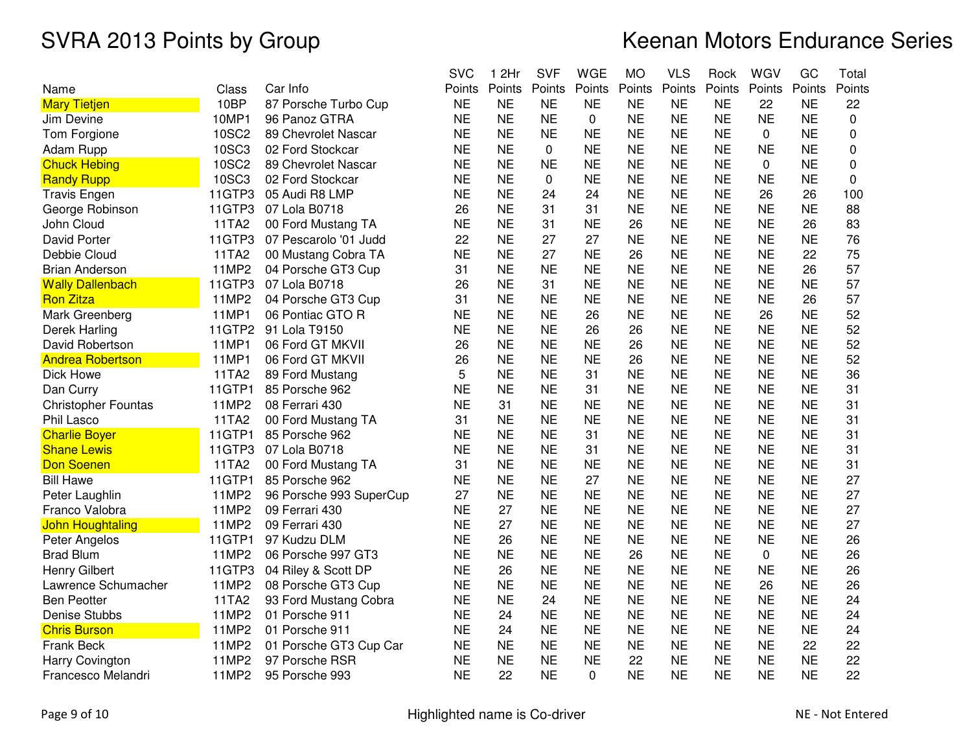|                            |              |                         | <b>SVC</b> | 1 2Hr     | <b>SVF</b> | <b>WGE</b> | <b>MO</b> | <b>VLS</b> | Rock      | WGV       | GC        | Total  |
|----------------------------|--------------|-------------------------|------------|-----------|------------|------------|-----------|------------|-----------|-----------|-----------|--------|
| Name                       | Class        | Car Info                | Points     | Points    | Points     | Points     | Points    | Points     | Points    | Points    | Points    | Points |
| <b>Mary Tietjen</b>        | 10BP         | 87 Porsche Turbo Cup    | <b>NE</b>  | <b>NE</b> | <b>NE</b>  | <b>NE</b>  | <b>NE</b> | <b>NE</b>  | <b>NE</b> | 22        | <b>NE</b> | 22     |
| Jim Devine                 | 10MP1        | 96 Panoz GTRA           | <b>NE</b>  | <b>NE</b> | <b>NE</b>  | 0          | <b>NE</b> | <b>NE</b>  | <b>NE</b> | <b>NE</b> | <b>NE</b> | 0      |
| Tom Forgione               | 10SC2        | 89 Chevrolet Nascar     | <b>NE</b>  | <b>NE</b> | <b>NE</b>  | <b>NE</b>  | <b>NE</b> | <b>NE</b>  | <b>NE</b> | 0         | <b>NE</b> | 0      |
| Adam Rupp                  | 10SC3        | 02 Ford Stockcar        | <b>NE</b>  | <b>NE</b> | 0          | <b>NE</b>  | <b>NE</b> | <b>NE</b>  | <b>NE</b> | <b>NE</b> | <b>NE</b> | 0      |
| <b>Chuck Hebing</b>        | <b>10SC2</b> | 89 Chevrolet Nascar     | <b>NE</b>  | <b>NE</b> | <b>NE</b>  | <b>NE</b>  | <b>NE</b> | <b>NE</b>  | <b>NE</b> | $\Omega$  | <b>NE</b> | 0      |
| <b>Randy Rupp</b>          | 10SC3        | 02 Ford Stockcar        | <b>NE</b>  | <b>NE</b> | 0          | <b>NE</b>  | <b>NE</b> | <b>NE</b>  | <b>NE</b> | <b>NE</b> | <b>NE</b> | 0      |
| <b>Travis Engen</b>        | 11GTP3       | 05 Audi R8 LMP          | <b>NE</b>  | <b>NE</b> | 24         | 24         | <b>NE</b> | <b>NE</b>  | <b>NE</b> | 26        | 26        | 100    |
| George Robinson            | 11GTP3       | 07 Lola B0718           | 26         | <b>NE</b> | 31         | 31         | <b>NE</b> | <b>NE</b>  | <b>NE</b> | <b>NE</b> | <b>NE</b> | 88     |
| John Cloud                 | 11TA2        | 00 Ford Mustang TA      | <b>NE</b>  | <b>NE</b> | 31         | <b>NE</b>  | 26        | <b>NE</b>  | <b>NE</b> | <b>NE</b> | 26        | 83     |
| <b>David Porter</b>        | 11GTP3       | 07 Pescarolo '01 Judd   | 22         | <b>NE</b> | 27         | 27         | <b>NE</b> | <b>NE</b>  | <b>NE</b> | <b>NE</b> | <b>NE</b> | 76     |
| Debbie Cloud               | 11TA2        | 00 Mustang Cobra TA     | <b>NE</b>  | <b>NE</b> | 27         | <b>NE</b>  | 26        | <b>NE</b>  | <b>NE</b> | <b>NE</b> | 22        | 75     |
| <b>Brian Anderson</b>      | 11MP2        | 04 Porsche GT3 Cup      | 31         | <b>NE</b> | <b>NE</b>  | <b>NE</b>  | <b>NE</b> | <b>NE</b>  | <b>NE</b> | <b>NE</b> | 26        | 57     |
| <b>Wally Dallenbach</b>    | 11GTP3       | 07 Lola B0718           | 26         | <b>NE</b> | 31         | <b>NE</b>  | <b>NE</b> | <b>NE</b>  | <b>NE</b> | <b>NE</b> | <b>NE</b> | 57     |
| <b>Ron Zitza</b>           | 11MP2        | 04 Porsche GT3 Cup      | 31         | <b>NE</b> | <b>NE</b>  | <b>NE</b>  | <b>NE</b> | <b>NE</b>  | <b>NE</b> | <b>NE</b> | 26        | 57     |
| Mark Greenberg             | 11MP1        | 06 Pontiac GTO R        | <b>NE</b>  | <b>NE</b> | <b>NE</b>  | 26         | <b>NE</b> | <b>NE</b>  | <b>NE</b> | 26        | <b>NE</b> | 52     |
| Derek Harling              | 11GTP2       | 91 Lola T9150           | <b>NE</b>  | <b>NE</b> | <b>NE</b>  | 26         | 26        | <b>NE</b>  | <b>NE</b> | <b>NE</b> | <b>NE</b> | 52     |
| David Robertson            | 11MP1        | 06 Ford GT MKVII        | 26         | <b>NE</b> | <b>NE</b>  | <b>NE</b>  | 26        | <b>NE</b>  | <b>NE</b> | <b>NE</b> | <b>NE</b> | 52     |
| <b>Andrea Robertson</b>    | 11MP1        | 06 Ford GT MKVII        | 26         | <b>NE</b> | <b>NE</b>  | <b>NE</b>  | 26        | <b>NE</b>  | <b>NE</b> | <b>NE</b> | <b>NE</b> | 52     |
| Dick Howe                  | 11TA2        | 89 Ford Mustang         | 5          | <b>NE</b> | <b>NE</b>  | 31         | <b>NE</b> | <b>NE</b>  | <b>NE</b> | <b>NE</b> | <b>NE</b> | 36     |
| Dan Curry                  | 11GTP1       | 85 Porsche 962          | <b>NE</b>  | <b>NE</b> | <b>NE</b>  | 31         | <b>NE</b> | <b>NE</b>  | <b>NE</b> | <b>NE</b> | <b>NE</b> | 31     |
| <b>Christopher Fountas</b> | 11MP2        | 08 Ferrari 430          | <b>NE</b>  | 31        | <b>NE</b>  | <b>NE</b>  | <b>NE</b> | <b>NE</b>  | <b>NE</b> | <b>NE</b> | <b>NE</b> | 31     |
| Phil Lasco                 | 11TA2        | 00 Ford Mustang TA      | 31         | <b>NE</b> | <b>NE</b>  | <b>NE</b>  | <b>NE</b> | <b>NE</b>  | <b>NE</b> | <b>NE</b> | <b>NE</b> | 31     |
| <b>Charlie Boyer</b>       | 11GTP1       | 85 Porsche 962          | <b>NE</b>  | <b>NE</b> | <b>NE</b>  | 31         | <b>NE</b> | <b>NE</b>  | <b>NE</b> | <b>NE</b> | <b>NE</b> | 31     |
| <b>Shane Lewis</b>         | 11GTP3       | 07 Lola B0718           | <b>NE</b>  | <b>NE</b> | <b>NE</b>  | 31         | <b>NE</b> | <b>NE</b>  | <b>NE</b> | <b>NE</b> | <b>NE</b> | 31     |
| <b>Don Soenen</b>          | 11TA2        | 00 Ford Mustang TA      | 31         | <b>NE</b> | <b>NE</b>  | <b>NE</b>  | <b>NE</b> | <b>NE</b>  | <b>NE</b> | <b>NE</b> | <b>NE</b> | 31     |
| <b>Bill Hawe</b>           | 11GTP1       | 85 Porsche 962          | <b>NE</b>  | <b>NE</b> | <b>NE</b>  | 27         | <b>NE</b> | <b>NE</b>  | <b>NE</b> | <b>NE</b> | <b>NE</b> | 27     |
| Peter Laughlin             | 11MP2        | 96 Porsche 993 SuperCup | 27         | <b>NE</b> | <b>NE</b>  | <b>NE</b>  | <b>NE</b> | <b>NE</b>  | <b>NE</b> | <b>NE</b> | <b>NE</b> | 27     |
| Franco Valobra             | 11MP2        | 09 Ferrari 430          | <b>NE</b>  | 27        | <b>NE</b>  | <b>NE</b>  | <b>NE</b> | <b>NE</b>  | <b>NE</b> | <b>NE</b> | <b>NE</b> | 27     |
| <b>John Houghtaling</b>    | 11MP2        | 09 Ferrari 430          | <b>NE</b>  | 27        | <b>NE</b>  | <b>NE</b>  | <b>NE</b> | <b>NE</b>  | <b>NE</b> | <b>NE</b> | <b>NE</b> | 27     |
| Peter Angelos              | 11GTP1       | 97 Kudzu DLM            | <b>NE</b>  | 26        | <b>NE</b>  | <b>NE</b>  | <b>NE</b> | <b>NE</b>  | <b>NE</b> | <b>NE</b> | <b>NE</b> | 26     |
| <b>Brad Blum</b>           | 11MP2        | 06 Porsche 997 GT3      | <b>NE</b>  | <b>NE</b> | <b>NE</b>  | <b>NE</b>  | 26        | <b>NE</b>  | <b>NE</b> | $\Omega$  | <b>NE</b> | 26     |
| <b>Henry Gilbert</b>       | 11GTP3       | 04 Riley & Scott DP     | <b>NE</b>  | 26        | <b>NE</b>  | <b>NE</b>  | <b>NE</b> | <b>NE</b>  | <b>NE</b> | <b>NE</b> | <b>NE</b> | 26     |
| Lawrence Schumacher        | 11MP2        | 08 Porsche GT3 Cup      | <b>NE</b>  | <b>NE</b> | <b>NE</b>  | <b>NE</b>  | <b>NE</b> | <b>NE</b>  | <b>NE</b> | 26        | <b>NE</b> | 26     |
| <b>Ben Peotter</b>         | 11TA2        | 93 Ford Mustang Cobra   | <b>NE</b>  | <b>NE</b> | 24         | <b>NE</b>  | <b>NE</b> | <b>NE</b>  | <b>NE</b> | <b>NE</b> | <b>NE</b> | 24     |
| Denise Stubbs              | 11MP2        | 01 Porsche 911          | <b>NE</b>  | 24        | <b>NE</b>  | <b>NE</b>  | <b>NE</b> | <b>NE</b>  | <b>NE</b> | <b>NE</b> | <b>NE</b> | 24     |
| <b>Chris Burson</b>        | 11MP2        | 01 Porsche 911          | <b>NE</b>  | 24        | <b>NE</b>  | <b>NE</b>  | <b>NE</b> | <b>NE</b>  | <b>NE</b> | <b>NE</b> | <b>NE</b> | 24     |
| <b>Frank Beck</b>          | 11MP2        | 01 Porsche GT3 Cup Car  | <b>NE</b>  | <b>NE</b> | <b>NE</b>  | <b>NE</b>  | <b>NE</b> | <b>NE</b>  | <b>NE</b> | <b>NE</b> | 22        | 22     |
| Harry Covington            | 11MP2        | 97 Porsche RSR          | <b>NE</b>  | <b>NE</b> | <b>NE</b>  | <b>NE</b>  | 22        | <b>NE</b>  | <b>NE</b> | <b>NE</b> | <b>NE</b> | 22     |
| Francesco Melandri         | 11MP2        | 95 Porsche 993          | <b>NE</b>  | 22        | <b>NE</b>  | 0          | <b>NE</b> | <b>NE</b>  | <b>NE</b> | <b>NE</b> | <b>NE</b> | 22     |